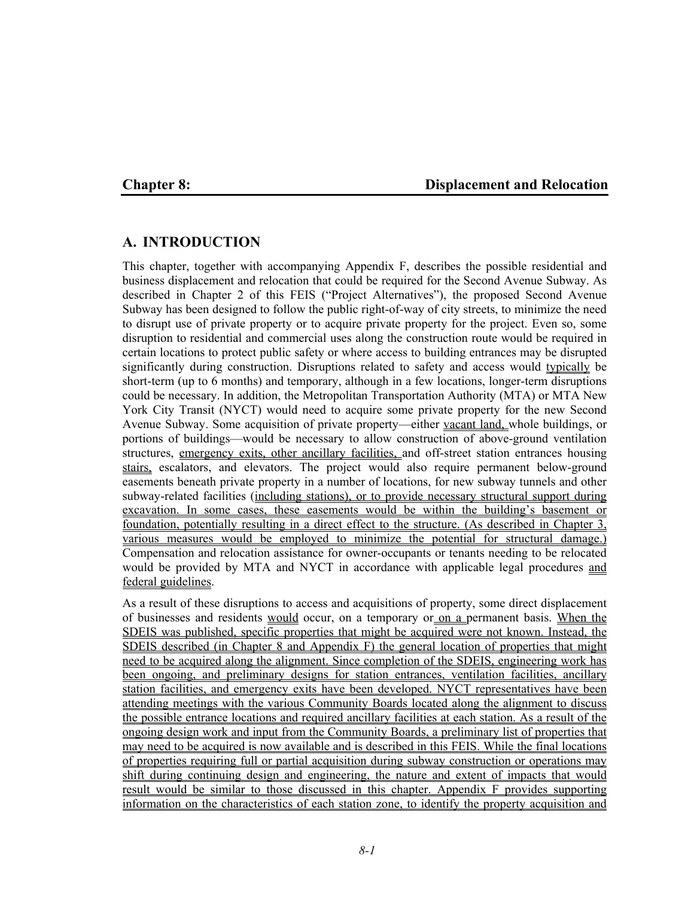#### **Chapter 8: Displacement and Relocation**

# **A. INTRODUCTION**

This chapter, together with accompanying Appendix F, describes the possible residential and business displacement and relocation that could be required for the Second Avenue Subway. As described in Chapter 2 of this FEIS ("Project Alternatives"), the proposed Second Avenue Subway has been designed to follow the public right-of-way of city streets, to minimize the need to disrupt use of private property or to acquire private property for the project. Even so, some disruption to residential and commercial uses along the construction route would be required in certain locations to protect public safety or where access to building entrances may be disrupted significantly during construction. Disruptions related to safety and access would typically be short-term (up to 6 months) and temporary, although in a few locations, longer-term disruptions could be necessary. In addition, the Metropolitan Transportation Authority (MTA) or MTA New York City Transit (NYCT) would need to acquire some private property for the new Second Avenue Subway. Some acquisition of private property—either vacant land, whole buildings, or portions of buildings—would be necessary to allow construction of above-ground ventilation structures, emergency exits, other ancillary facilities, and off-street station entrances housing stairs, escalators, and elevators. The project would also require permanent below-ground easements beneath private property in a number of locations, for new subway tunnels and other subway-related facilities (including stations), or to provide necessary structural support during excavation. In some cases, these easements would be within the building's basement or foundation, potentially resulting in a direct effect to the structure. (As described in Chapter 3, various measures would be employed to minimize the potential for structural damage.) Compensation and relocation assistance for owner-occupants or tenants needing to be relocated would be provided by MTA and NYCT in accordance with applicable legal procedures and federal guidelines.

As a result of these disruptions to access and acquisitions of property, some direct displacement of businesses and residents would occur, on a temporary or on a permanent basis. When the SDEIS was published, specific properties that might be acquired were not known. Instead, the SDEIS described (in Chapter 8 and Appendix F) the general location of properties that might need to be acquired along the alignment. Since completion of the SDEIS, engineering work has been ongoing, and preliminary designs for station entrances, ventilation facilities, ancillary station facilities, and emergency exits have been developed. NYCT representatives have been attending meetings with the various Community Boards located along the alignment to discuss the possible entrance locations and required ancillary facilities at each station. As a result of the ongoing design work and input from the Community Boards, a preliminary list of properties that may need to be acquired is now available and is described in this FEIS. While the final locations of properties requiring full or partial acquisition during subway construction or operations may shift during continuing design and engineering, the nature and extent of impacts that would result would be similar to those discussed in this chapter. Appendix F provides supporting information on the characteristics of each station zone, to identify the property acquisition and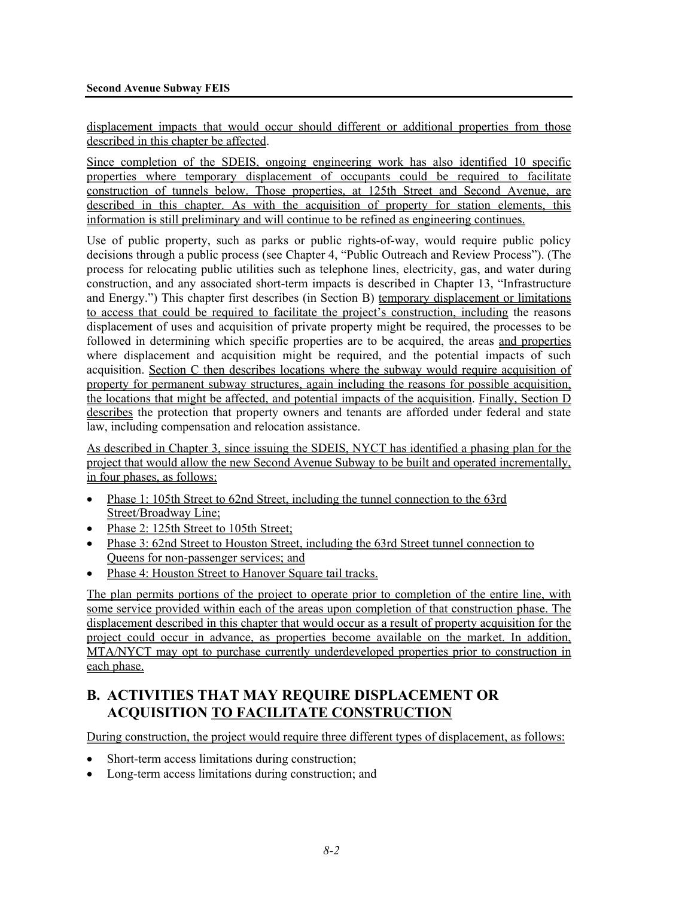displacement impacts that would occur should different or additional properties from those described in this chapter be affected.

Since completion of the SDEIS, ongoing engineering work has also identified 10 specific properties where temporary displacement of occupants could be required to facilitate construction of tunnels below. Those properties, at 125th Street and Second Avenue, are described in this chapter. As with the acquisition of property for station elements, this information is still preliminary and will continue to be refined as engineering continues.

Use of public property, such as parks or public rights-of-way, would require public policy decisions through a public process (see Chapter 4, "Public Outreach and Review Process"). (The process for relocating public utilities such as telephone lines, electricity, gas, and water during construction, and any associated short-term impacts is described in Chapter 13, "Infrastructure and Energy.") This chapter first describes (in Section B) temporary displacement or limitations to access that could be required to facilitate the project's construction, including the reasons displacement of uses and acquisition of private property might be required, the processes to be followed in determining which specific properties are to be acquired, the areas and properties where displacement and acquisition might be required, and the potential impacts of such acquisition. Section C then describes locations where the subway would require acquisition of property for permanent subway structures, again including the reasons for possible acquisition, the locations that might be affected, and potential impacts of the acquisition. Finally, Section D describes the protection that property owners and tenants are afforded under federal and state law, including compensation and relocation assistance.

As described in Chapter 3, since issuing the SDEIS, NYCT has identified a phasing plan for the project that would allow the new Second Avenue Subway to be built and operated incrementally, in four phases, as follows:

- Phase 1: 105th Street to 62nd Street, including the tunnel connection to the 63rd Street/Broadway Line;
- Phase 2: 125th Street to 105th Street;
- Phase 3: 62nd Street to Houston Street, including the 63rd Street tunnel connection to Queens for non-passenger services; and
- Phase 4: Houston Street to Hanover Square tail tracks.

The plan permits portions of the project to operate prior to completion of the entire line, with some service provided within each of the areas upon completion of that construction phase. The displacement described in this chapter that would occur as a result of property acquisition for the project could occur in advance, as properties become available on the market. In addition, MTA/NYCT may opt to purchase currently underdeveloped properties prior to construction in each phase.

# **B. ACTIVITIES THAT MAY REQUIRE DISPLACEMENT OR ACQUISITION TO FACILITATE CONSTRUCTION**

During construction, the project would require three different types of displacement, as follows:

- Short-term access limitations during construction;
- Long-term access limitations during construction; and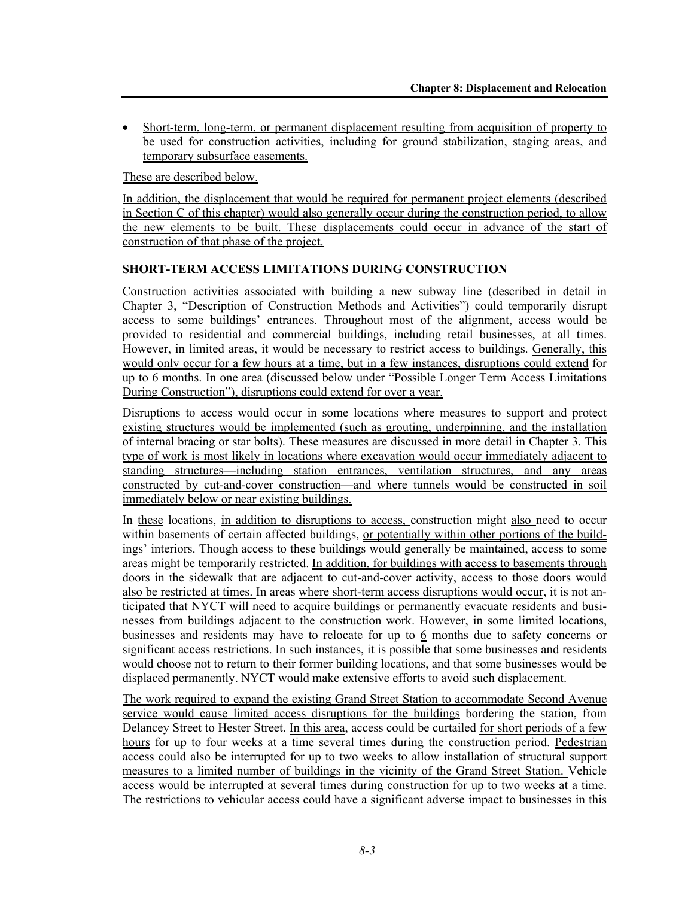• Short-term, long-term, or permanent displacement resulting from acquisition of property to be used for construction activities, including for ground stabilization, staging areas, and temporary subsurface easements.

These are described below.

In addition, the displacement that would be required for permanent project elements (described in Section C of this chapter) would also generally occur during the construction period, to allow the new elements to be built. These displacements could occur in advance of the start of construction of that phase of the project.

# **SHORT-TERM ACCESS LIMITATIONS DURING CONSTRUCTION**

Construction activities associated with building a new subway line (described in detail in Chapter 3, "Description of Construction Methods and Activities") could temporarily disrupt access to some buildings' entrances. Throughout most of the alignment, access would be provided to residential and commercial buildings, including retail businesses, at all times. However, in limited areas, it would be necessary to restrict access to buildings. Generally, this would only occur for a few hours at a time, but in a few instances, disruptions could extend for up to 6 months. In one area (discussed below under "Possible Longer Term Access Limitations During Construction"), disruptions could extend for over a year.

Disruptions to access would occur in some locations where measures to support and protect existing structures would be implemented (such as grouting, underpinning, and the installation of internal bracing or star bolts). These measures are discussed in more detail in Chapter 3. This type of work is most likely in locations where excavation would occur immediately adjacent to standing structures—including station entrances, ventilation structures, and any areas constructed by cut-and-cover construction—and where tunnels would be constructed in soil immediately below or near existing buildings.

In these locations, in addition to disruptions to access, construction might also need to occur within basements of certain affected buildings, or potentially within other portions of the buildings' interiors. Though access to these buildings would generally be maintained, access to some areas might be temporarily restricted. In addition, for buildings with access to basements through doors in the sidewalk that are adjacent to cut-and-cover activity, access to those doors would also be restricted at times. In areas where short-term access disruptions would occur, it is not anticipated that NYCT will need to acquire buildings or permanently evacuate residents and businesses from buildings adjacent to the construction work. However, in some limited locations, businesses and residents may have to relocate for up to  $6$  months due to safety concerns or significant access restrictions. In such instances, it is possible that some businesses and residents would choose not to return to their former building locations, and that some businesses would be displaced permanently. NYCT would make extensive efforts to avoid such displacement.

The work required to expand the existing Grand Street Station to accommodate Second Avenue service would cause limited access disruptions for the buildings bordering the station, from Delancey Street to Hester Street. In this area, access could be curtailed for short periods of a few hours for up to four weeks at a time several times during the construction period. Pedestrian access could also be interrupted for up to two weeks to allow installation of structural support measures to a limited number of buildings in the vicinity of the Grand Street Station. Vehicle access would be interrupted at several times during construction for up to two weeks at a time. The restrictions to vehicular access could have a significant adverse impact to businesses in this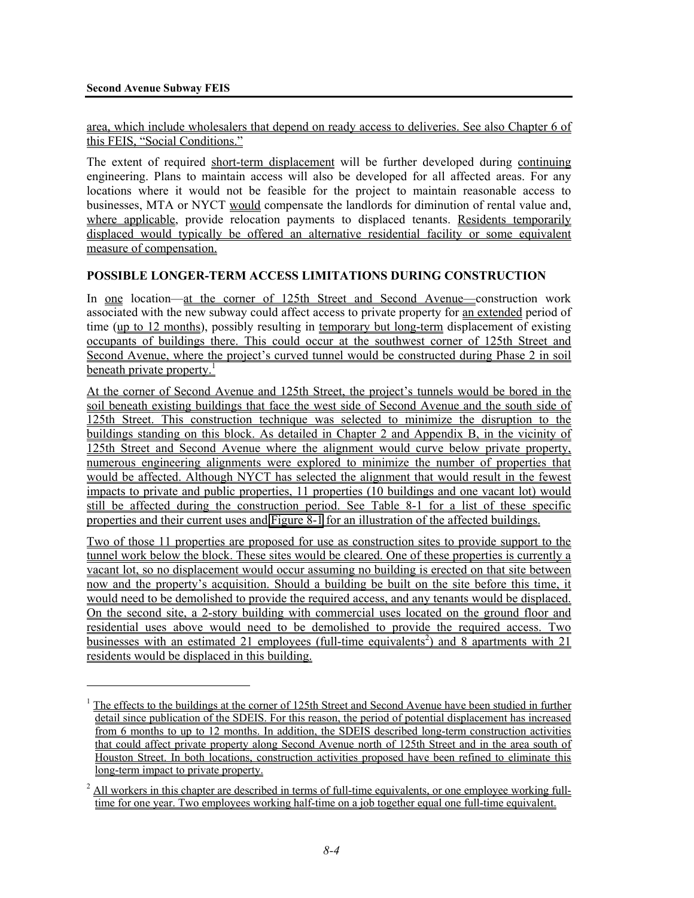l

area, which include wholesalers that depend on ready access to deliveries. See also Chapter 6 of this FEIS, "Social Conditions."

The extent of required short-term displacement will be further developed during continuing engineering. Plans to maintain access will also be developed for all affected areas. For any locations where it would not be feasible for the project to maintain reasonable access to businesses, MTA or NYCT would compensate the landlords for diminution of rental value and, where applicable, provide relocation payments to displaced tenants. Residents temporarily displaced would typically be offered an alternative residential facility or some equivalent measure of compensation.

#### **POSSIBLE LONGER-TERM ACCESS LIMITATIONS DURING CONSTRUCTION**

In <u>one</u> location—at the corner of 125th Street and Second Avenue—construction work associated with the new subway could affect access to private property for an extended period of time (up to 12 months), possibly resulting in temporary but long-term displacement of existing occupants of buildings there. This could occur at the southwest corner of 125th Street and Second Avenue, where the project's curved tunnel would be constructed during Phase 2 in soil beneath private property.<sup>1</sup>

At the corner of Second Avenue and 125th Street, the project's tunnels would be bored in the soil beneath existing buildings that face the west side of Second Avenue and the south side of 125th Street. This construction technique was selected to minimize the disruption to the buildings standing on this block. As detailed in Chapter 2 and Appendix B, in the vicinity of 125th Street and Second Avenue where the alignment would curve below private property, numerous engineering alignments were explored to minimize the number of properties that would be affected. Although NYCT has selected the alignment that would result in the fewest impacts to private and public properties, 11 properties (10 buildings and one vacant lot) would still be affected during the construction period. See Table 8-1 for a list of these specific properties and their current uses and Figure 8-1 for an illustration of the affected buildings.

Two of those 11 properties are proposed for use as construction sites to provide support to the tunnel work below the block. These sites would be cleared. One of these properties is currently a vacant lot, so no displacement would occur assuming no building is erected on that site between now and the property's acquisition. Should a building be built on the site before this time, it would need to be demolished to provide the required access, and any tenants would be displaced. On the second site, a 2-story building with commercial uses located on the ground floor and residential uses above would need to be demolished to provide the required access. Two businesses with an estimated 21 employees (full-time equivalents<sup>2</sup>) and 8 apartments with  $21$ residents would be displaced in this building.

<sup>&</sup>lt;sup>1</sup> The effects to the buildings at the corner of 125th Street and Second Avenue have been studied in further detail since publication of the SDEIS. For this reason, the period of potential displacement has increased from 6 months to up to 12 months. In addition, the SDEIS described long-term construction activities that could affect private property along Second Avenue north of 125th Street and in the area south of Houston Street. In both locations, construction activities proposed have been refined to eliminate this long-term impact to private property.

 $2$  All workers in this chapter are described in terms of full-time equivalents, or one employee working fulltime for one year. Two employees working half-time on a job together equal one full-time equivalent.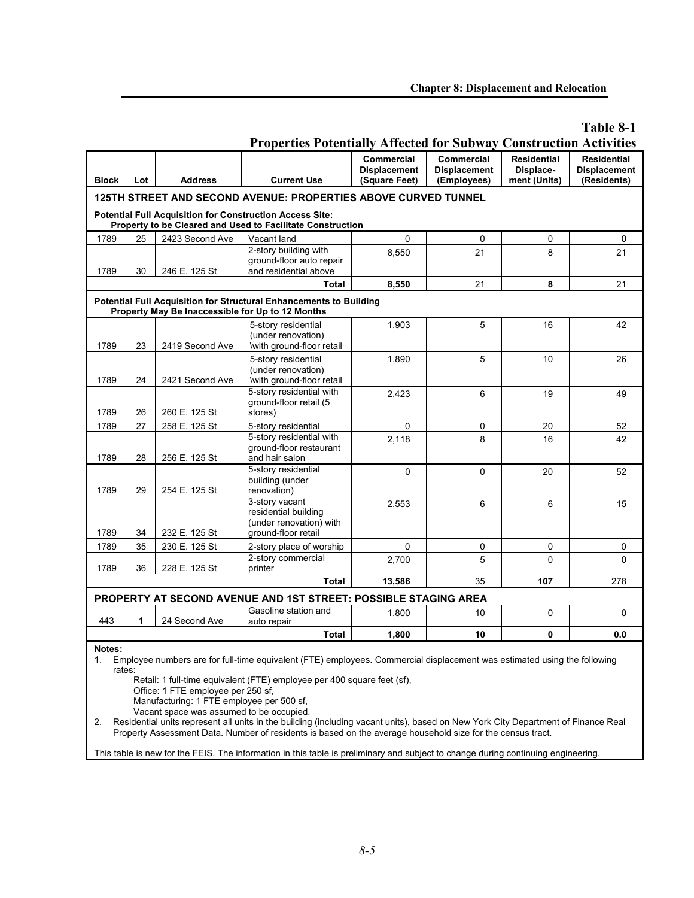# **Table 8-1**

|              | I Toperues I otentially Affected for Subway Construction Activities                                                                                                                                           |                 |                                                                                                                               |                                                    |                                                         |                                                 |                                                          |  |  |  |  |  |
|--------------|---------------------------------------------------------------------------------------------------------------------------------------------------------------------------------------------------------------|-----------------|-------------------------------------------------------------------------------------------------------------------------------|----------------------------------------------------|---------------------------------------------------------|-------------------------------------------------|----------------------------------------------------------|--|--|--|--|--|
| <b>Block</b> | Lot                                                                                                                                                                                                           | <b>Address</b>  | <b>Current Use</b>                                                                                                            | Commercial<br><b>Displacement</b><br>(Square Feet) | <b>Commercial</b><br><b>Displacement</b><br>(Employees) | <b>Residential</b><br>Displace-<br>ment (Units) | <b>Residential</b><br><b>Displacement</b><br>(Residents) |  |  |  |  |  |
|              |                                                                                                                                                                                                               |                 | 125TH STREET AND SECOND AVENUE: PROPERTIES ABOVE CURVED TUNNEL                                                                |                                                    |                                                         |                                                 |                                                          |  |  |  |  |  |
|              |                                                                                                                                                                                                               |                 |                                                                                                                               |                                                    |                                                         |                                                 |                                                          |  |  |  |  |  |
|              |                                                                                                                                                                                                               |                 | <b>Potential Full Acquisition for Construction Access Site:</b><br>Property to be Cleared and Used to Facilitate Construction |                                                    |                                                         |                                                 |                                                          |  |  |  |  |  |
| 1789         | 25                                                                                                                                                                                                            | 2423 Second Ave | Vacant land                                                                                                                   | 0                                                  | 0                                                       | 0                                               | 0                                                        |  |  |  |  |  |
| 1789         | 30                                                                                                                                                                                                            | 246 E. 125 St   | 2-story building with<br>ground-floor auto repair<br>and residential above                                                    | 8,550                                              | 21                                                      | 8                                               | 21                                                       |  |  |  |  |  |
|              |                                                                                                                                                                                                               |                 | Total                                                                                                                         | 8.550                                              | 21                                                      | 8                                               | 21                                                       |  |  |  |  |  |
|              | <b>Potential Full Acquisition for Structural Enhancements to Building</b><br>Property May Be Inaccessible for Up to 12 Months                                                                                 |                 |                                                                                                                               |                                                    |                                                         |                                                 |                                                          |  |  |  |  |  |
| 1789         | 23                                                                                                                                                                                                            | 2419 Second Ave | 5-story residential<br>(under renovation)<br>\with ground-floor retail                                                        | 1,903                                              | 5                                                       | 16                                              | 42                                                       |  |  |  |  |  |
| 1789         | 24                                                                                                                                                                                                            | 2421 Second Ave | 5-story residential<br>(under renovation)<br>with ground-floor retail                                                         | 1,890                                              | 5                                                       | 10                                              | 26                                                       |  |  |  |  |  |
| 1789         | 26                                                                                                                                                                                                            | 260 E. 125 St   | 5-story residential with<br>ground-floor retail (5<br>stores)                                                                 | 2,423                                              | 6                                                       | 19                                              | 49                                                       |  |  |  |  |  |
| 1789         | 27                                                                                                                                                                                                            | 258 E. 125 St   | 5-story residential                                                                                                           | 0                                                  | 0                                                       | 20                                              | 52                                                       |  |  |  |  |  |
| 1789         | 28                                                                                                                                                                                                            | 256 E. 125 St   | 5-story residential with<br>ground-floor restaurant<br>and hair salon                                                         | 2,118                                              | 8                                                       | 16                                              | 42                                                       |  |  |  |  |  |
| 1789         | 29                                                                                                                                                                                                            | 254 E. 125 St   | 5-story residential<br>building (under<br>renovation)                                                                         | $\Omega$                                           | $\Omega$                                                | 20                                              | 52                                                       |  |  |  |  |  |
| 1789         | 34                                                                                                                                                                                                            | 232 E. 125 St   | 3-story vacant<br>residential building<br>(under renovation) with<br>ground-floor retail                                      | 2,553                                              | 6                                                       | 6                                               | 15                                                       |  |  |  |  |  |
| 1789         | 35                                                                                                                                                                                                            | 230 E. 125 St   | 2-story place of worship                                                                                                      | 0                                                  | 0                                                       | 0                                               | 0                                                        |  |  |  |  |  |
| 1789         | 36                                                                                                                                                                                                            | 228 E. 125 St   | 2-story commercial<br>printer                                                                                                 | 2,700                                              | 5                                                       | $\Omega$                                        | $\Omega$                                                 |  |  |  |  |  |
|              |                                                                                                                                                                                                               |                 | <b>Total</b>                                                                                                                  | 13,586                                             | 35                                                      | 107                                             | 278                                                      |  |  |  |  |  |
|              |                                                                                                                                                                                                               |                 | PROPERTY AT SECOND AVENUE AND 1ST STREET: POSSIBLE STAGING AREA                                                               |                                                    |                                                         |                                                 |                                                          |  |  |  |  |  |
| 443          | 1                                                                                                                                                                                                             | 24 Second Ave   | Gasoline station and<br>auto repair                                                                                           | 1,800                                              | 10                                                      | 0                                               | 0                                                        |  |  |  |  |  |
|              | $\pmb{0}$<br><b>Total</b><br>1,800<br>10<br>0.0                                                                                                                                                               |                 |                                                                                                                               |                                                    |                                                         |                                                 |                                                          |  |  |  |  |  |
| Notes:<br>1. | Employee numbers are for full-time equivalent (FTE) employees. Commercial displacement was estimated using the following<br>rates:<br>Retail: 1 full-time equivalent (FTE) employee per 400 square feet (sf), |                 |                                                                                                                               |                                                    |                                                         |                                                 |                                                          |  |  |  |  |  |

# **Properties Potentially Affected for Subway Construction Activities**

Office: 1 FTE employee per 250 sf,

Manufacturing: 1 FTE employee per 500 sf,

Vacant space was assumed to be occupied.

2. Residential units represent all units in the building (including vacant units), based on New York City Department of Finance Real Property Assessment Data. Number of residents is based on the average household size for the census tract.

This table is new for the FEIS. The information in this table is preliminary and subject to change during continuing engineering.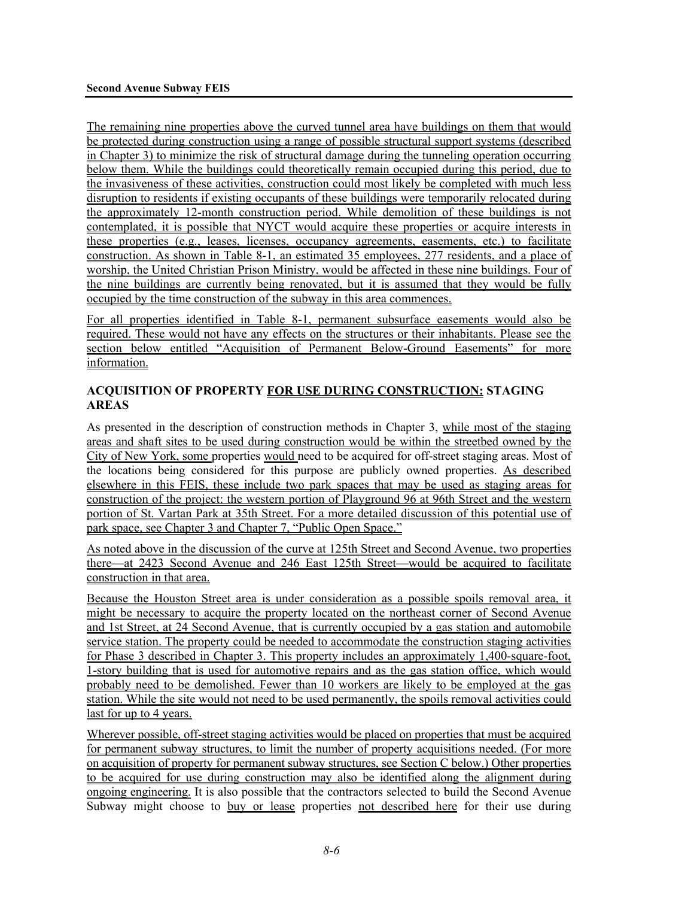The remaining nine properties above the curved tunnel area have buildings on them that would be protected during construction using a range of possible structural support systems (described in Chapter 3) to minimize the risk of structural damage during the tunneling operation occurring below them. While the buildings could theoretically remain occupied during this period, due to the invasiveness of these activities, construction could most likely be completed with much less disruption to residents if existing occupants of these buildings were temporarily relocated during the approximately 12-month construction period. While demolition of these buildings is not contemplated, it is possible that NYCT would acquire these properties or acquire interests in these properties (e.g., leases, licenses, occupancy agreements, easements, etc.) to facilitate construction. As shown in Table 8-1, an estimated 35 employees, 277 residents, and a place of worship, the United Christian Prison Ministry, would be affected in these nine buildings. Four of the nine buildings are currently being renovated, but it is assumed that they would be fully occupied by the time construction of the subway in this area commences.

For all properties identified in Table 8-1, permanent subsurface easements would also be required. These would not have any effects on the structures or their inhabitants. Please see the section below entitled "Acquisition of Permanent Below-Ground Easements" for more information.

# **ACQUISITION OF PROPERTY FOR USE DURING CONSTRUCTION: STAGING AREAS**

As presented in the description of construction methods in Chapter 3, while most of the staging areas and shaft sites to be used during construction would be within the streetbed owned by the City of New York, some properties would need to be acquired for off-street staging areas. Most of the locations being considered for this purpose are publicly owned properties. As described elsewhere in this FEIS, these include two park spaces that may be used as staging areas for construction of the project: the western portion of Playground 96 at 96th Street and the western portion of St. Vartan Park at 35th Street. For a more detailed discussion of this potential use of park space, see Chapter 3 and Chapter 7, "Public Open Space."

As noted above in the discussion of the curve at 125th Street and Second Avenue, two properties there—at 2423 Second Avenue and 246 East 125th Street—would be acquired to facilitate construction in that area.

Because the Houston Street area is under consideration as a possible spoils removal area, it might be necessary to acquire the property located on the northeast corner of Second Avenue and 1st Street, at 24 Second Avenue, that is currently occupied by a gas station and automobile service station. The property could be needed to accommodate the construction staging activities for Phase 3 described in Chapter 3. This property includes an approximately 1,400-square-foot, 1-story building that is used for automotive repairs and as the gas station office, which would probably need to be demolished. Fewer than 10 workers are likely to be employed at the gas station. While the site would not need to be used permanently, the spoils removal activities could last for up to 4 years.

Wherever possible, off-street staging activities would be placed on properties that must be acquired for permanent subway structures, to limit the number of property acquisitions needed. (For more on acquisition of property for permanent subway structures, see Section C below.) Other properties to be acquired for use during construction may also be identified along the alignment during ongoing engineering. It is also possible that the contractors selected to build the Second Avenue Subway might choose to buy or lease properties not described here for their use during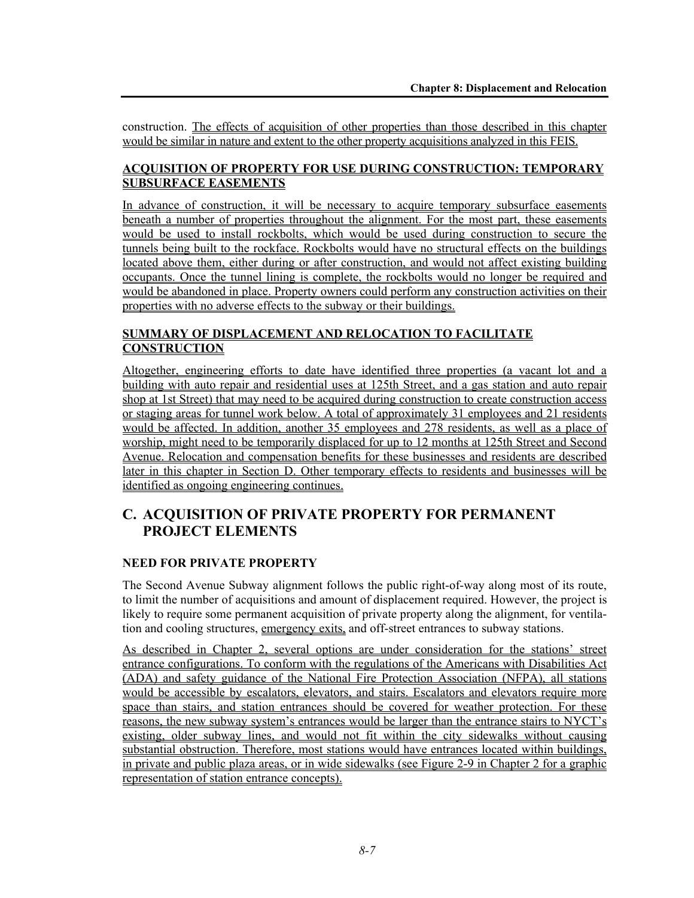construction. The effects of acquisition of other properties than those described in this chapter would be similar in nature and extent to the other property acquisitions analyzed in this FEIS.

# **ACQUISITION OF PROPERTY FOR USE DURING CONSTRUCTION: TEMPORARY SUBSURFACE EASEMENTS**

In advance of construction, it will be necessary to acquire temporary subsurface easements beneath a number of properties throughout the alignment. For the most part, these easements would be used to install rockbolts, which would be used during construction to secure the tunnels being built to the rockface. Rockbolts would have no structural effects on the buildings located above them, either during or after construction, and would not affect existing building occupants. Once the tunnel lining is complete, the rockbolts would no longer be required and would be abandoned in place. Property owners could perform any construction activities on their properties with no adverse effects to the subway or their buildings.

# **SUMMARY OF DISPLACEMENT AND RELOCATION TO FACILITATE CONSTRUCTION**

Altogether, engineering efforts to date have identified three properties (a vacant lot and a building with auto repair and residential uses at 125th Street, and a gas station and auto repair shop at 1st Street) that may need to be acquired during construction to create construction access or staging areas for tunnel work below. A total of approximately 31 employees and 21 residents would be affected. In addition, another 35 employees and 278 residents, as well as a place of worship, might need to be temporarily displaced for up to 12 months at 125th Street and Second Avenue. Relocation and compensation benefits for these businesses and residents are described later in this chapter in Section D. Other temporary effects to residents and businesses will be identified as ongoing engineering continues.

# **C. ACQUISITION OF PRIVATE PROPERTY FOR PERMANENT PROJECT ELEMENTS**

#### **NEED FOR PRIVATE PROPERTY**

The Second Avenue Subway alignment follows the public right-of-way along most of its route, to limit the number of acquisitions and amount of displacement required. However, the project is likely to require some permanent acquisition of private property along the alignment, for ventilation and cooling structures, emergency exits, and off-street entrances to subway stations.

As described in Chapter 2, several options are under consideration for the stations' street entrance configurations. To conform with the regulations of the Americans with Disabilities Act (ADA) and safety guidance of the National Fire Protection Association (NFPA), all stations would be accessible by escalators, elevators, and stairs. Escalators and elevators require more space than stairs, and station entrances should be covered for weather protection. For these reasons, the new subway system's entrances would be larger than the entrance stairs to NYCT's existing, older subway lines, and would not fit within the city sidewalks without causing substantial obstruction. Therefore, most stations would have entrances located within buildings, in private and public plaza areas, or in wide sidewalks (see Figure 2-9 in Chapter 2 for a graphic representation of station entrance concepts).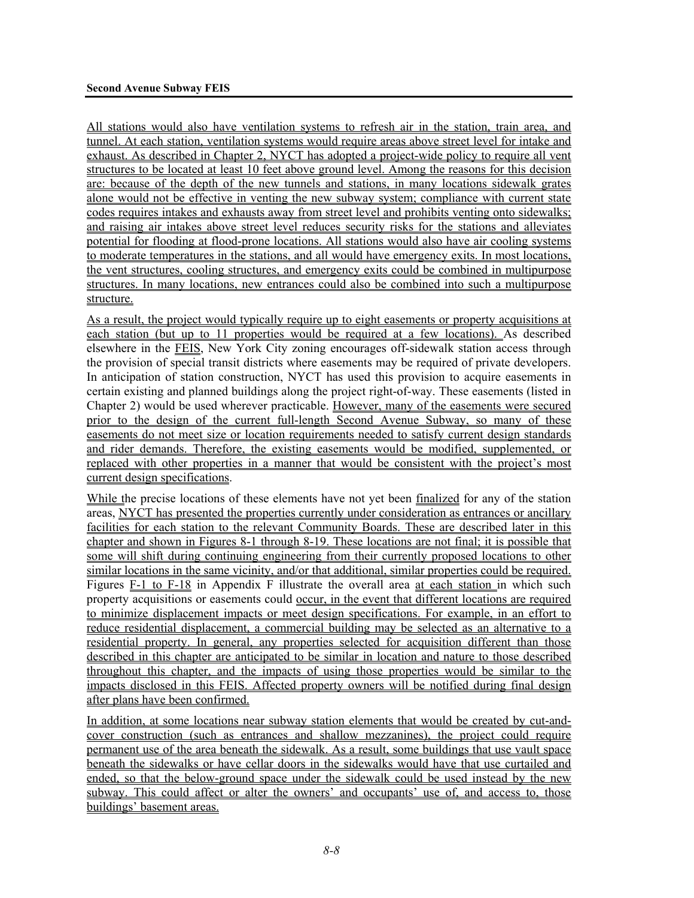All stations would also have ventilation systems to refresh air in the station, train area, and tunnel. At each station, ventilation systems would require areas above street level for intake and exhaust. As described in Chapter 2, NYCT has adopted a project-wide policy to require all vent structures to be located at least 10 feet above ground level. Among the reasons for this decision are: because of the depth of the new tunnels and stations, in many locations sidewalk grates alone would not be effective in venting the new subway system; compliance with current state codes requires intakes and exhausts away from street level and prohibits venting onto sidewalks; and raising air intakes above street level reduces security risks for the stations and alleviates potential for flooding at flood-prone locations. All stations would also have air cooling systems to moderate temperatures in the stations, and all would have emergency exits. In most locations, the vent structures, cooling structures, and emergency exits could be combined in multipurpose structures. In many locations, new entrances could also be combined into such a multipurpose structure.

As a result, the project would typically require up to eight easements or property acquisitions at each station (but up to 11 properties would be required at a few locations). As described elsewhere in the FEIS, New York City zoning encourages off-sidewalk station access through the provision of special transit districts where easements may be required of private developers. In anticipation of station construction, NYCT has used this provision to acquire easements in certain existing and planned buildings along the project right-of-way. These easements (listed in Chapter 2) would be used wherever practicable. However, many of the easements were secured prior to the design of the current full-length Second Avenue Subway, so many of these easements do not meet size or location requirements needed to satisfy current design standards and rider demands. Therefore, the existing easements would be modified, supplemented, or replaced with other properties in a manner that would be consistent with the project's most current design specifications.

While the precise locations of these elements have not yet been finalized for any of the station areas, NYCT has presented the properties currently under consideration as entrances or ancillary facilities for each station to the relevant Community Boards. These are described later in this chapter and shown in Figures 8-1 through 8-19. These locations are not final; it is possible that some will shift during continuing engineering from their currently proposed locations to other similar locations in the same vicinity, and/or that additional, similar properties could be required. Figures F-1 to F-18 in Appendix F illustrate the overall area at each station in which such property acquisitions or easements could <u>occur, in the event that different locations are required</u> to minimize displacement impacts or meet design specifications. For example, in an effort to reduce residential displacement, a commercial building may be selected as an alternative to a residential property. In general, any properties selected for acquisition different than those described in this chapter are anticipated to be similar in location and nature to those described throughout this chapter, and the impacts of using those properties would be similar to the impacts disclosed in this FEIS. Affected property owners will be notified during final design after plans have been confirmed.

In addition, at some locations near subway station elements that would be created by cut-andcover construction (such as entrances and shallow mezzanines), the project could require permanent use of the area beneath the sidewalk. As a result, some buildings that use vault space beneath the sidewalks or have cellar doors in the sidewalks would have that use curtailed and ended, so that the below-ground space under the sidewalk could be used instead by the new subway. This could affect or alter the owners' and occupants' use of, and access to, those buildings' basement areas.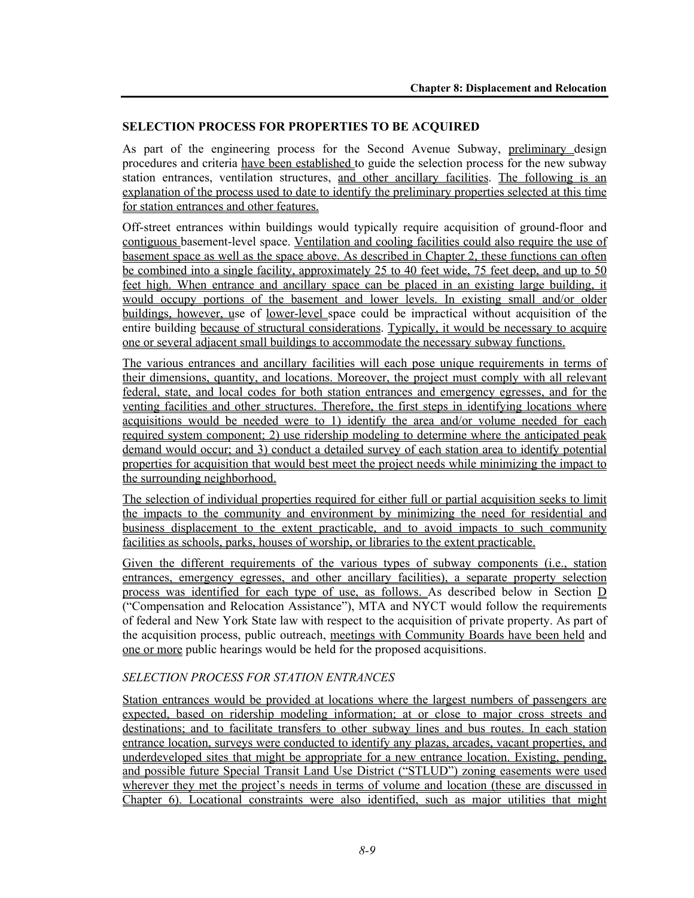#### **SELECTION PROCESS FOR PROPERTIES TO BE ACQUIRED**

As part of the engineering process for the Second Avenue Subway, preliminary design procedures and criteria have been established to guide the selection process for the new subway station entrances, ventilation structures, and other ancillary facilities. The following is an explanation of the process used to date to identify the preliminary properties selected at this time for station entrances and other features.

Off-street entrances within buildings would typically require acquisition of ground-floor and contiguous basement-level space. Ventilation and cooling facilities could also require the use of basement space as well as the space above. As described in Chapter 2, these functions can often be combined into a single facility, approximately 25 to 40 feet wide, 75 feet deep, and up to 50 feet high. When entrance and ancillary space can be placed in an existing large building, it would occupy portions of the basement and lower levels. In existing small and/or older buildings, however, use of lower-level space could be impractical without acquisition of the entire building because of structural considerations. Typically, it would be necessary to acquire one or several adjacent small buildings to accommodate the necessary subway functions.

The various entrances and ancillary facilities will each pose unique requirements in terms of their dimensions, quantity, and locations. Moreover, the project must comply with all relevant federal, state, and local codes for both station entrances and emergency egresses, and for the venting facilities and other structures. Therefore, the first steps in identifying locations where acquisitions would be needed were to 1) identify the area and/or volume needed for each required system component; 2) use ridership modeling to determine where the anticipated peak demand would occur; and 3) conduct a detailed survey of each station area to identify potential properties for acquisition that would best meet the project needs while minimizing the impact to the surrounding neighborhood.

The selection of individual properties required for either full or partial acquisition seeks to limit the impacts to the community and environment by minimizing the need for residential and business displacement to the extent practicable, and to avoid impacts to such community facilities as schools, parks, houses of worship, or libraries to the extent practicable.

Given the different requirements of the various types of subway components (i.e., station entrances, emergency egresses, and other ancillary facilities), a separate property selection process was identified for each type of use, as follows. As described below in Section D ("Compensation and Relocation Assistance"), MTA and NYCT would follow the requirements of federal and New York State law with respect to the acquisition of private property. As part of the acquisition process, public outreach, meetings with Community Boards have been held and one or more public hearings would be held for the proposed acquisitions.

# *SELECTION PROCESS FOR STATION ENTRANCES*

Station entrances would be provided at locations where the largest numbers of passengers are expected, based on ridership modeling information; at or close to major cross streets and destinations; and to facilitate transfers to other subway lines and bus routes. In each station entrance location, surveys were conducted to identify any plazas, arcades, vacant properties, and underdeveloped sites that might be appropriate for a new entrance location. Existing, pending, and possible future Special Transit Land Use District ("STLUD") zoning easements were used wherever they met the project's needs in terms of volume and location (these are discussed in Chapter 6). Locational constraints were also identified, such as major utilities that might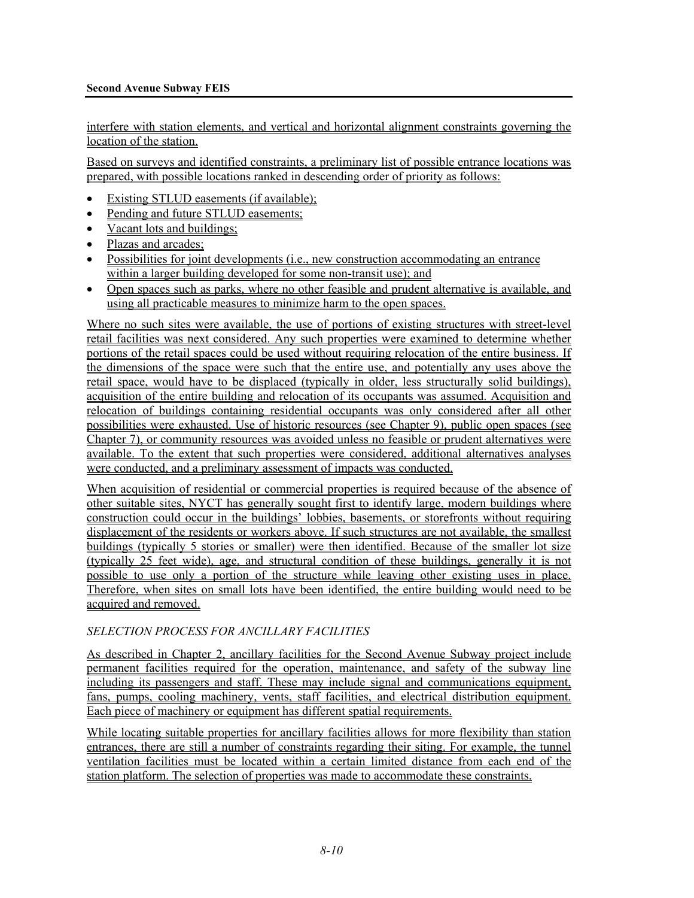#### **Second Avenue Subway FEIS**

interfere with station elements, and vertical and horizontal alignment constraints governing the location of the station.

Based on surveys and identified constraints, a preliminary list of possible entrance locations was prepared, with possible locations ranked in descending order of priority as follows:

- Existing STLUD easements (if available);
- Pending and future STLUD easements;
- Vacant lots and buildings;
- Plazas and arcades;
- Possibilities for joint developments (i.e., new construction accommodating an entrance within a larger building developed for some non-transit use); and
- Open spaces such as parks, where no other feasible and prudent alternative is available, and using all practicable measures to minimize harm to the open spaces.

Where no such sites were available, the use of portions of existing structures with street-level retail facilities was next considered. Any such properties were examined to determine whether portions of the retail spaces could be used without requiring relocation of the entire business. If the dimensions of the space were such that the entire use, and potentially any uses above the retail space, would have to be displaced (typically in older, less structurally solid buildings), acquisition of the entire building and relocation of its occupants was assumed. Acquisition and relocation of buildings containing residential occupants was only considered after all other possibilities were exhausted. Use of historic resources (see Chapter 9), public open spaces (see Chapter 7), or community resources was avoided unless no feasible or prudent alternatives were available. To the extent that such properties were considered, additional alternatives analyses were conducted, and a preliminary assessment of impacts was conducted.

When acquisition of residential or commercial properties is required because of the absence of other suitable sites, NYCT has generally sought first to identify large, modern buildings where construction could occur in the buildings' lobbies, basements, or storefronts without requiring displacement of the residents or workers above. If such structures are not available, the smallest buildings (typically 5 stories or smaller) were then identified. Because of the smaller lot size (typically 25 feet wide), age, and structural condition of these buildings, generally it is not possible to use only a portion of the structure while leaving other existing uses in place. Therefore, when sites on small lots have been identified, the entire building would need to be acquired and removed.

#### *SELECTION PROCESS FOR ANCILLARY FACILITIES*

As described in Chapter 2, ancillary facilities for the Second Avenue Subway project include permanent facilities required for the operation, maintenance, and safety of the subway line including its passengers and staff. These may include signal and communications equipment, fans, pumps, cooling machinery, vents, staff facilities, and electrical distribution equipment. Each piece of machinery or equipment has different spatial requirements.

While locating suitable properties for ancillary facilities allows for more flexibility than station entrances, there are still a number of constraints regarding their siting. For example, the tunnel ventilation facilities must be located within a certain limited distance from each end of the station platform. The selection of properties was made to accommodate these constraints.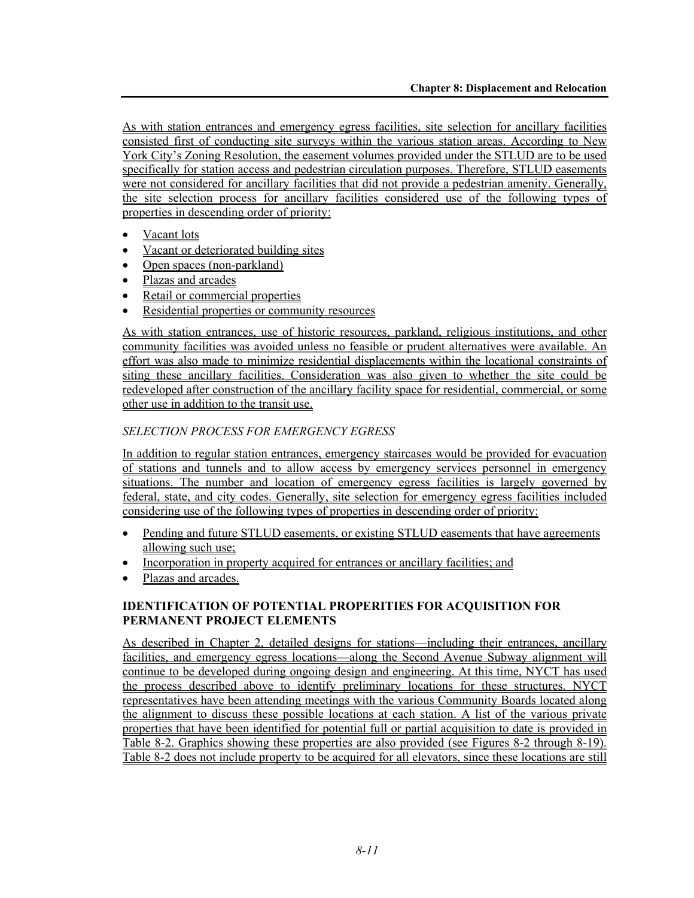As with station entrances and emergency egress facilities, site selection for ancillary facilities consisted first of conducting site surveys within the various station areas. According to New York City's Zoning Resolution, the easement volumes provided under the STLUD are to be used specifically for station access and pedestrian circulation purposes. Therefore, STLUD easements were not considered for ancillary facilities that did not provide a pedestrian amenity. Generally, the site selection process for ancillary facilities considered use of the following types of properties in descending order of priority:

- Vacant lots
- Vacant or deteriorated building sites
- Open spaces (non-parkland)
- Plazas and arcades
- Retail or commercial properties
- Residential properties or community resources

As with station entrances, use of historic resources, parkland, religious institutions, and other community facilities was avoided unless no feasible or prudent alternatives were available. An effort was also made to minimize residential displacements within the locational constraints of siting these ancillary facilities. Consideration was also given to whether the site could be redeveloped after construction of the ancillary facility space for residential, commercial, or some other use in addition to the transit use.

# *SELECTION PROCESS FOR EMERGENCY EGRESS*

In addition to regular station entrances, emergency staircases would be provided for evacuation of stations and tunnels and to allow access by emergency services personnel in emergency situations. The number and location of emergency egress facilities is largely governed by federal, state, and city codes. Generally, site selection for emergency egress facilities included considering use of the following types of properties in descending order of priority:

- Pending and future STLUD easements, or existing STLUD easements that have agreements allowing such use;
- Incorporation in property acquired for entrances or ancillary facilities; and
- Plazas and arcades.

# **IDENTIFICATION OF POTENTIAL PROPERITIES FOR ACQUISITION FOR PERMANENT PROJECT ELEMENTS**

As described in Chapter 2, detailed designs for stations—including their entrances, ancillary facilities, and emergency egress locations—along the Second Avenue Subway alignment will continue to be developed during ongoing design and engineering. At this time, NYCT has used the process described above to identify preliminary locations for these structures. NYCT representatives have been attending meetings with the various Community Boards located along the alignment to discuss these possible locations at each station. A list of the various private properties that have been identified for potential full or partial acquisition to date is provided in Table 8-2. Graphics showing these properties are also provided (see Figures 8-2 through 8-19). Table 8-2 does not include property to be acquired for all elevators, since these locations are still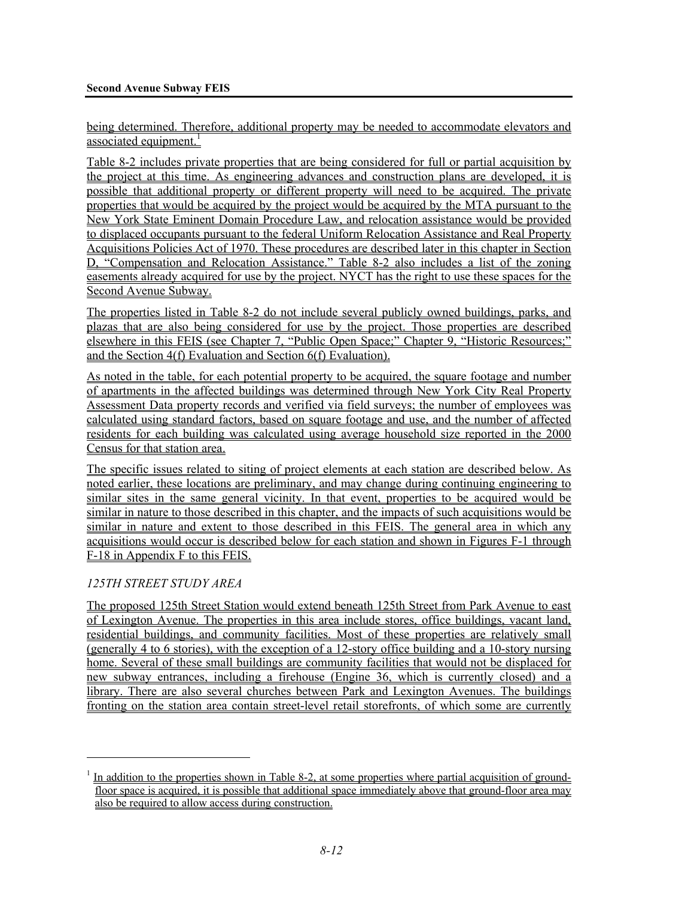being determined. Therefore, additional property may be needed to accommodate elevators and associated equipment.<sup>1</sup>

Table 8-2 includes private properties that are being considered for full or partial acquisition by the project at this time. As engineering advances and construction plans are developed, it is possible that additional property or different property will need to be acquired. The private properties that would be acquired by the project would be acquired by the MTA pursuant to the New York State Eminent Domain Procedure Law, and relocation assistance would be provided to displaced occupants pursuant to the federal Uniform Relocation Assistance and Real Property Acquisitions Policies Act of 1970. These procedures are described later in this chapter in Section D, "Compensation and Relocation Assistance." Table 8-2 also includes a list of the zoning easements already acquired for use by the project. NYCT has the right to use these spaces for the Second Avenue Subway.

The properties listed in Table 8-2 do not include several publicly owned buildings, parks, and plazas that are also being considered for use by the project. Those properties are described elsewhere in this FEIS (see Chapter 7, "Public Open Space;" Chapter 9, "Historic Resources;" and the Section 4(f) Evaluation and Section 6(f) Evaluation).

As noted in the table, for each potential property to be acquired, the square footage and number of apartments in the affected buildings was determined through New York City Real Property Assessment Data property records and verified via field surveys; the number of employees was calculated using standard factors, based on square footage and use, and the number of affected residents for each building was calculated using average household size reported in the 2000 Census for that station area.

The specific issues related to siting of project elements at each station are described below. As noted earlier, these locations are preliminary, and may change during continuing engineering to similar sites in the same general vicinity. In that event, properties to be acquired would be similar in nature to those described in this chapter, and the impacts of such acquisitions would be similar in nature and extent to those described in this FEIS. The general area in which any acquisitions would occur is described below for each station and shown in Figures F-1 through F-18 in Appendix F to this FEIS.

# *125TH STREET STUDY AREA*

1

The proposed 125th Street Station would extend beneath 125th Street from Park Avenue to east of Lexington Avenue. The properties in this area include stores, office buildings, vacant land, residential buildings, and community facilities. Most of these properties are relatively small (generally 4 to 6 stories), with the exception of a 12-story office building and a 10-story nursing home. Several of these small buildings are community facilities that would not be displaced for new subway entrances, including a firehouse (Engine 36, which is currently closed) and a library. There are also several churches between Park and Lexington Avenues. The buildings fronting on the station area contain street-level retail storefronts, of which some are currently

<sup>&</sup>lt;sup>1</sup> In addition to the properties shown in Table 8-2, at some properties where partial acquisition of groundfloor space is acquired, it is possible that additional space immediately above that ground-floor area may also be required to allow access during construction.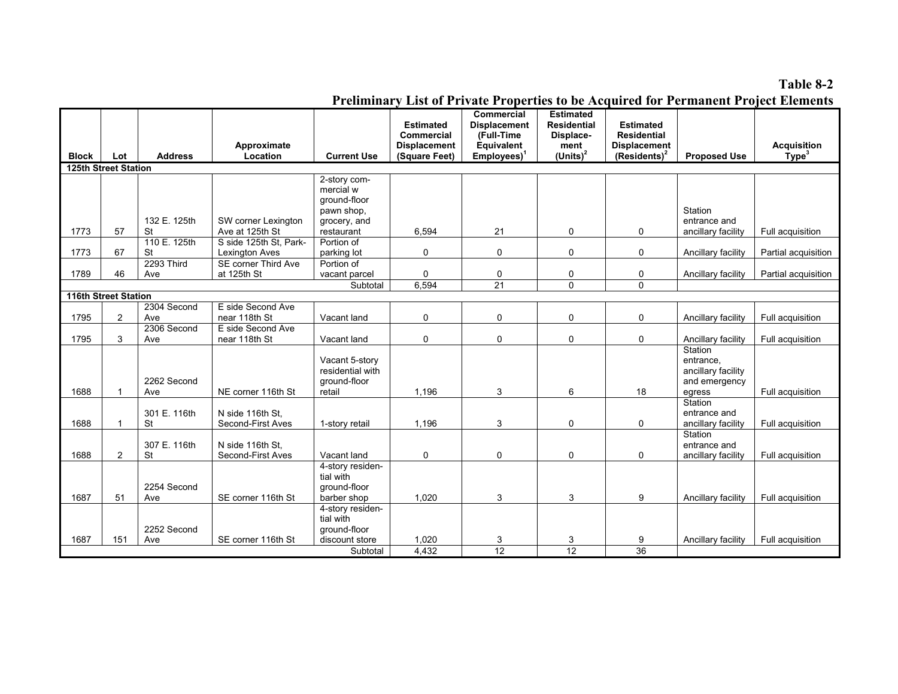#### **Table 8-2**

|                             |                |                                         |                                          |                                                                         |                                                                               |                                                                                |                                                                            |                                                                                  |                                                                       | <b>Preliminary List of Private Properties to be Acquired for Permanent Project Elements</b> |
|-----------------------------|----------------|-----------------------------------------|------------------------------------------|-------------------------------------------------------------------------|-------------------------------------------------------------------------------|--------------------------------------------------------------------------------|----------------------------------------------------------------------------|----------------------------------------------------------------------------------|-----------------------------------------------------------------------|---------------------------------------------------------------------------------------------|
| <b>Block</b>                | Lot            | <b>Address</b>                          | Approximate<br>Location                  | <b>Current Use</b>                                                      | <b>Estimated</b><br><b>Commercial</b><br><b>Displacement</b><br>(Square Feet) | Commercial<br><b>Displacement</b><br>(Full-Time<br>Equivalent<br>$Employes)^T$ | <b>Estimated</b><br><b>Residential</b><br>Displace-<br>ment<br>$(Units)^2$ | <b>Estimated</b><br><b>Residential</b><br><b>Displacement</b><br>$(Residents)^2$ | <b>Proposed Use</b>                                                   | <b>Acquisition</b><br>Type <sup>3</sup>                                                     |
| <b>125th Street Station</b> |                |                                         |                                          |                                                                         |                                                                               |                                                                                |                                                                            |                                                                                  |                                                                       |                                                                                             |
|                             |                | 132 E. 125th                            | SW corner Lexington                      | 2-story com-<br>mercial w<br>ground-floor<br>pawn shop,<br>grocery, and |                                                                               |                                                                                |                                                                            |                                                                                  | Station<br>entrance and                                               |                                                                                             |
| 1773                        | 57             | <b>St</b>                               | Ave at 125th St                          | restaurant                                                              | 6,594                                                                         | 21                                                                             | 0                                                                          | 0                                                                                | ancillary facility                                                    | Full acquisition                                                                            |
| 1773                        | 67             | 110 E. 125th<br><b>St</b><br>2293 Third | S side 125th St. Park-<br>Lexington Aves | Portion of<br>parking lot                                               | 0                                                                             | 0                                                                              | 0                                                                          | 0                                                                                | Ancillary facility                                                    | Partial acquisition                                                                         |
| 1789                        | 46             | Ave                                     | SE corner Third Ave<br>at 125th St       | Portion of<br>vacant parcel                                             | 0                                                                             | 0                                                                              | 0                                                                          | 0                                                                                | Ancillary facility                                                    | Partial acquisition                                                                         |
|                             |                |                                         |                                          | Subtotal                                                                | 6,594                                                                         | 21                                                                             | $\mathbf 0$                                                                | 0                                                                                |                                                                       |                                                                                             |
| 116th Street Station        |                |                                         |                                          |                                                                         |                                                                               |                                                                                |                                                                            |                                                                                  |                                                                       |                                                                                             |
| 1795                        | $\overline{2}$ | 2304 Second<br>Ave                      | E side Second Ave<br>near 118th St       | Vacant land                                                             | 0                                                                             | $\mathbf 0$                                                                    | 0                                                                          | 0                                                                                | Ancillary facility                                                    | Full acquisition                                                                            |
| 1795                        | 3              | 2306 Second<br>Ave                      | E side Second Ave<br>near 118th St       | Vacant land                                                             | 0                                                                             | $\mathbf 0$                                                                    | 0                                                                          | 0                                                                                | Ancillary facility                                                    | Full acquisition                                                                            |
| 1688                        | $\mathbf{1}$   | 2262 Second<br>Ave                      | NE corner 116th St                       | Vacant 5-story<br>residential with<br>ground-floor<br>retail            | 1,196                                                                         | 3                                                                              | 6                                                                          | 18                                                                               | Station<br>entrance,<br>ancillary facility<br>and emergency<br>egress | Full acquisition                                                                            |
| 1688                        | $\mathbf{1}$   | 301 E. 116th<br><b>St</b>               | N side 116th St.<br>Second-First Aves    | 1-story retail                                                          | 1.196                                                                         | 3                                                                              | 0                                                                          | 0                                                                                | Station<br>entrance and<br>ancillary facility                         | Full acquisition                                                                            |
| 1688                        | $\overline{2}$ | 307 E. 116th<br>St                      | N side 116th St.<br>Second-First Aves    | Vacant land                                                             | 0                                                                             | 0                                                                              | 0                                                                          | 0                                                                                | Station<br>entrance and<br>ancillary facility                         | Full acquisition                                                                            |
| 1687                        | 51             | 2254 Second<br>Ave                      | SE corner 116th St                       | 4-story residen-<br>tial with<br>ground-floor<br>barber shop            | 1,020                                                                         | 3                                                                              | 3                                                                          | 9                                                                                | Ancillary facility                                                    | Full acquisition                                                                            |
| 1687                        | 151            | 2252 Second<br>Ave                      | SE corner 116th St                       | 4-story residen-<br>tial with<br>ground-floor<br>discount store         | 1,020                                                                         | 3                                                                              | 3                                                                          | 9                                                                                | Ancillary facility                                                    | Full acquisition                                                                            |
|                             |                |                                         |                                          | Subtotal                                                                | 4,432                                                                         | 12                                                                             | 12                                                                         | $\overline{36}$                                                                  |                                                                       |                                                                                             |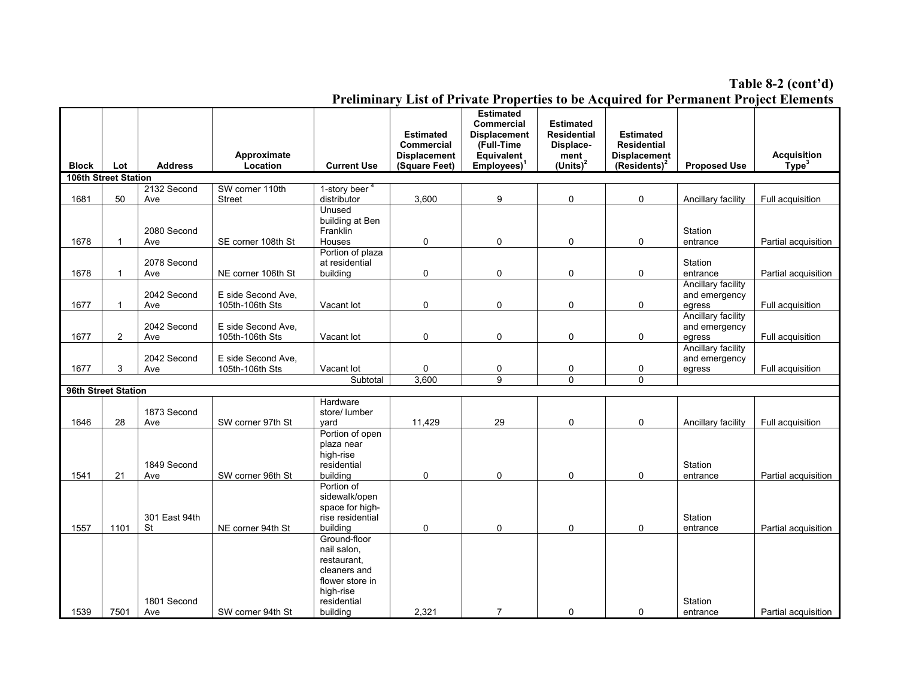#### **Table 8-2 (cont'd)**

|              |                             |                     |                                       |                                                                                                                       |                                                                               |                                                                                                           |                                                                            |                                                                                  |                                               | Preliminary List of Private Properties to be Acquired for Permanent Project Elements |
|--------------|-----------------------------|---------------------|---------------------------------------|-----------------------------------------------------------------------------------------------------------------------|-------------------------------------------------------------------------------|-----------------------------------------------------------------------------------------------------------|----------------------------------------------------------------------------|----------------------------------------------------------------------------------|-----------------------------------------------|--------------------------------------------------------------------------------------|
| <b>Block</b> | Lot                         | <b>Address</b>      | Approximate<br>Location               | <b>Current Use</b>                                                                                                    | <b>Estimated</b><br><b>Commercial</b><br><b>Displacement</b><br>(Square Feet) | <b>Estimated</b><br><b>Commercial</b><br><b>Displacement</b><br>(Full-Time<br>Equivalent<br>$Employes)^1$ | <b>Estimated</b><br><b>Residential</b><br>Displace-<br>ment<br>$(Units)^2$ | <b>Estimated</b><br><b>Residential</b><br><b>Displacement</b><br>$(Residents)^2$ | <b>Proposed Use</b>                           | <b>Acquisition</b><br>Type <sup>3</sup>                                              |
|              | <b>106th Street Station</b> |                     |                                       |                                                                                                                       |                                                                               |                                                                                                           |                                                                            |                                                                                  |                                               |                                                                                      |
| 1681         | 50                          | 2132 Second<br>Ave  | SW corner 110th<br><b>Street</b>      | 1-story beer <sup>4</sup><br>distributor<br>Unused                                                                    | 3,600                                                                         | 9                                                                                                         | 0                                                                          | 0                                                                                | Ancillary facility                            | Full acquisition                                                                     |
| 1678         | $\mathbf{1}$                | 2080 Second<br>Ave  | SE corner 108th St                    | building at Ben<br>Franklin<br>Houses                                                                                 | 0                                                                             | 0                                                                                                         | $\mathbf 0$                                                                | 0                                                                                | Station<br>entrance                           | Partial acquisition                                                                  |
| 1678         |                             | 2078 Second<br>Ave  | NE corner 106th St                    | Portion of plaza<br>at residential<br>building                                                                        | 0                                                                             | 0                                                                                                         | 0                                                                          | 0                                                                                | Station<br>entrance                           | Partial acquisition                                                                  |
| 1677         | 1                           | 2042 Second<br>Ave  | E side Second Ave.<br>105th-106th Sts | Vacant lot                                                                                                            | 0                                                                             | 0                                                                                                         | $\mathbf 0$                                                                | 0                                                                                | Ancillary facility<br>and emergency<br>egress | Full acquisition                                                                     |
| 1677         | $\overline{2}$              | 2042 Second<br>Ave  | E side Second Ave.<br>105th-106th Sts | Vacant lot                                                                                                            | 0                                                                             | 0                                                                                                         | 0                                                                          | 0                                                                                | Ancillary facility<br>and emergency<br>egress | Full acquisition                                                                     |
| 1677         | 3                           | 2042 Second<br>Ave  | E side Second Ave,<br>105th-106th Sts | Vacant lot                                                                                                            | 0                                                                             | 0                                                                                                         | 0                                                                          | 0                                                                                | Ancillary facility<br>and emergency<br>egress | Full acquisition                                                                     |
|              |                             |                     |                                       | Subtotal                                                                                                              | 3,600                                                                         | 9                                                                                                         | $\Omega$                                                                   | $\Omega$                                                                         |                                               |                                                                                      |
|              | 96th Street Station         |                     |                                       |                                                                                                                       |                                                                               |                                                                                                           |                                                                            |                                                                                  |                                               |                                                                                      |
| 1646         | 28                          | 1873 Second<br>Ave  | SW corner 97th St                     | Hardware<br>store/ lumber<br>vard                                                                                     | 11,429                                                                        | 29                                                                                                        | 0                                                                          | 0                                                                                | Ancillary facility                            | Full acquisition                                                                     |
| 1541         | 21                          | 1849 Second<br>Ave  | SW corner 96th St                     | Portion of open<br>plaza near<br>high-rise<br>residential<br>building                                                 | 0                                                                             | 0                                                                                                         | 0                                                                          | 0                                                                                | Station<br>entrance                           | Partial acquisition                                                                  |
| 1557         | 1101                        | 301 East 94th<br>St | NE corner 94th St                     | Portion of<br>sidewalk/open<br>space for high-<br>rise residential<br>building                                        | 0                                                                             | 0                                                                                                         | 0                                                                          | 0                                                                                | Station<br>entrance                           | Partial acquisition                                                                  |
| 1539         | 7501                        | 1801 Second<br>Ave  | SW corner 94th St                     | Ground-floor<br>nail salon,<br>restaurant,<br>cleaners and<br>flower store in<br>high-rise<br>residential<br>building | 2,321                                                                         | $\overline{7}$                                                                                            | $\mathbf 0$                                                                | 0                                                                                | Station<br>entrance                           | Partial acquisition                                                                  |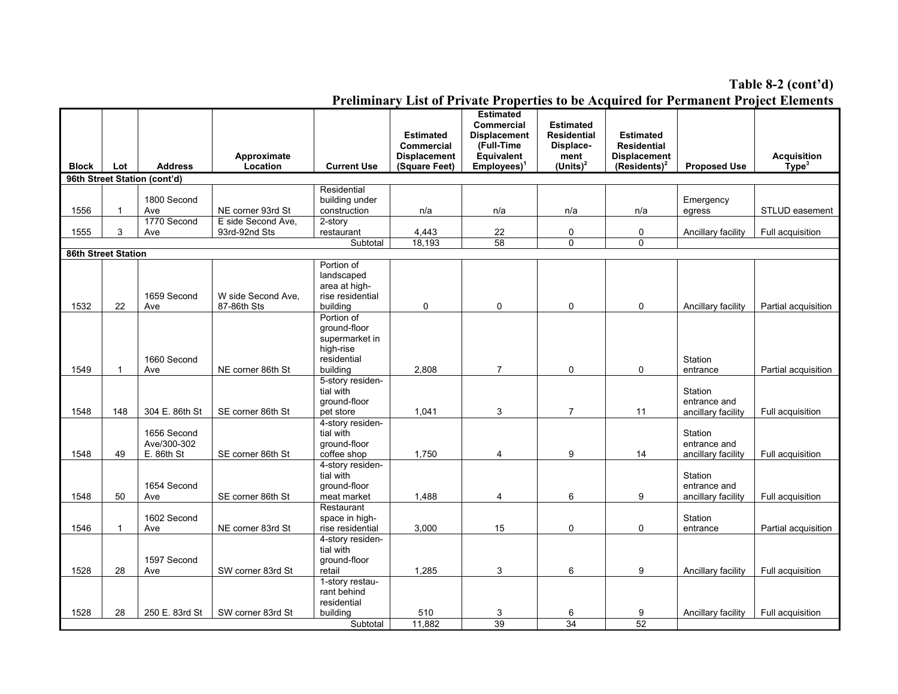#### **Table 8-2 (cont'd)**

|                            |              |                                          |                    |                                                                                      | <b>Estimated</b>    | <b>Estimated</b><br><b>Commercial</b> | <b>Estimated</b><br><b>Residential</b> | <b>Estimated</b>    |                                               |                     |
|----------------------------|--------------|------------------------------------------|--------------------|--------------------------------------------------------------------------------------|---------------------|---------------------------------------|----------------------------------------|---------------------|-----------------------------------------------|---------------------|
|                            |              |                                          |                    |                                                                                      | <b>Commercial</b>   | <b>Displacement</b><br>(Full-Time     | Displace-                              | <b>Residential</b>  |                                               |                     |
|                            |              |                                          | Approximate        |                                                                                      | <b>Displacement</b> | Equivalent                            | ment                                   | <b>Displacement</b> |                                               | <b>Acquisition</b>  |
| <b>Block</b>               | Lot          | <b>Address</b>                           | Location           | <b>Current Use</b>                                                                   | (Square Feet)       | $Employes)^1$                         | $(Units)^2$                            | $(Residents)^2$     | <b>Proposed Use</b>                           | Type <sup>3</sup>   |
|                            |              | 96th Street Station (cont'd)             |                    |                                                                                      |                     |                                       |                                        |                     |                                               |                     |
|                            |              | 1800 Second                              |                    | Residential                                                                          |                     |                                       |                                        |                     |                                               |                     |
| 1556                       | 1            | Ave                                      | NE corner 93rd St  | building under<br>construction                                                       | n/a                 | n/a                                   | n/a                                    | n/a                 | Emergency<br>egress                           | STLUD easement      |
|                            |              | 1770 Second                              | E side Second Ave, | 2-story                                                                              |                     |                                       |                                        |                     |                                               |                     |
| 1555                       | 3            | Ave                                      | 93rd-92nd Sts      | restaurant                                                                           | 4,443               | 22                                    | 0                                      | 0                   | Ancillary facility                            | Full acquisition    |
|                            |              |                                          |                    | Subtotal                                                                             | 18,193              | 58                                    | $\mathbf 0$                            | 0                   |                                               |                     |
| <b>86th Street Station</b> |              |                                          |                    |                                                                                      |                     |                                       |                                        |                     |                                               |                     |
|                            |              | 1659 Second                              | W side Second Ave. | Portion of<br>landscaped<br>area at high-<br>rise residential                        |                     |                                       |                                        |                     |                                               |                     |
| 1532                       | 22           | Ave                                      | 87-86th Sts        | building                                                                             | 0                   | 0                                     | 0                                      | 0                   | Ancillary facility                            | Partial acquisition |
| 1549                       | $\mathbf{1}$ | 1660 Second<br>Ave                       | NE corner 86th St  | Portion of<br>ground-floor<br>supermarket in<br>high-rise<br>residential<br>building | 2.808               | $\overline{7}$                        | 0                                      | 0                   | Station<br>entrance                           | Partial acquisition |
| 1548                       | 148          | 304 E. 86th St                           | SE corner 86th St  | 5-story residen-<br>tial with<br>ground-floor<br>pet store                           | 1,041               | 3                                     | $\overline{7}$                         | 11                  | Station<br>entrance and<br>ancillary facility | Full acquisition    |
| 1548                       | 49           | 1656 Second<br>Ave/300-302<br>E. 86th St | SE corner 86th St  | 4-story residen-<br>tial with<br>ground-floor<br>coffee shop                         | 1,750               | 4                                     | 9                                      | 14                  | Station<br>entrance and<br>ancillary facility | Full acquisition    |
| 1548                       | 50           | 1654 Second<br>Ave                       | SE corner 86th St  | 4-story residen-<br>tial with<br>ground-floor<br>meat market                         | 1,488               | 4                                     | 6                                      | 9                   | Station<br>entrance and<br>ancillary facility | Full acquisition    |
| 1546                       | 1            | 1602 Second<br>Ave                       | NE corner 83rd St  | Restaurant<br>space in high-<br>rise residential                                     | 3,000               | 15                                    | 0                                      | 0                   | Station<br>entrance                           | Partial acquisition |
| 1528                       | 28           | 1597 Second<br>Ave                       | SW corner 83rd St  | 4-story residen-<br>tial with<br>ground-floor<br>retail                              | 1.285               | 3                                     | 6                                      | 9                   | Ancillary facility                            | Full acquisition    |
| 1528                       | 28           | 250 E. 83rd St                           | SW corner 83rd St  | 1-story restau-<br>rant behind<br>residential<br>building                            | 510                 | 3                                     | 6                                      | 9                   | Ancillary facility                            | Full acquisition    |
|                            |              |                                          |                    | Subtotal                                                                             | 11,882              | 39                                    | $\overline{34}$                        | $\overline{52}$     |                                               |                     |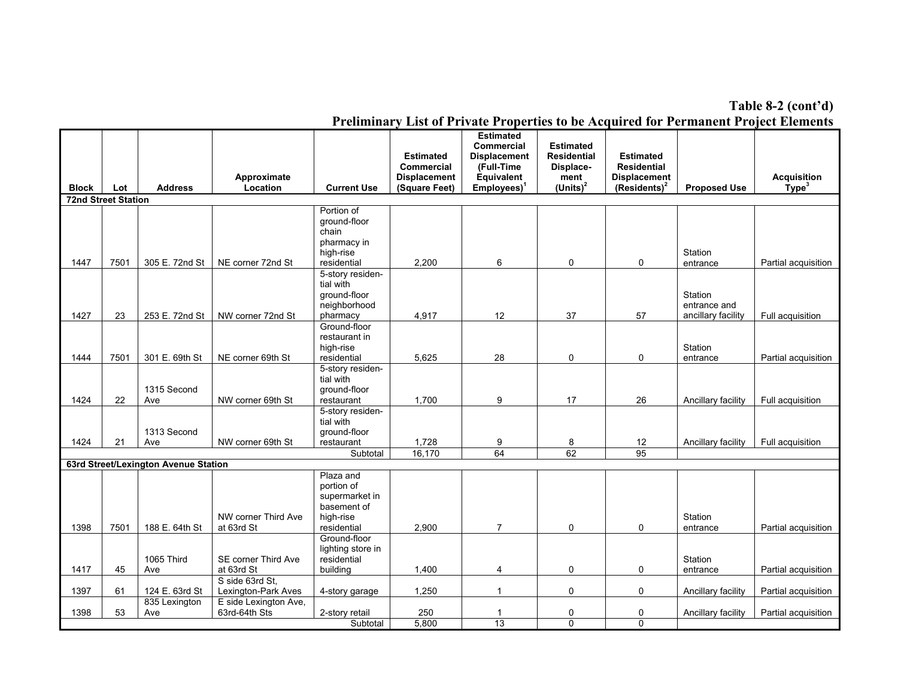**Table 8-2 (cont'd)**

|                            |      |                                      |                                                      |                                                                                | <b>Estimated</b><br>Commercial       | <b>Estimated</b><br>Commercial<br><b>Displacement</b><br>(Full-Time | <b>Estimated</b><br><b>Residential</b><br>Displace- | <b>Estimated</b><br><b>Residential</b> |                                               |                                         |
|----------------------------|------|--------------------------------------|------------------------------------------------------|--------------------------------------------------------------------------------|--------------------------------------|---------------------------------------------------------------------|-----------------------------------------------------|----------------------------------------|-----------------------------------------------|-----------------------------------------|
| <b>Block</b>               | Lot  | <b>Address</b>                       | Approximate<br>Location                              | <b>Current Use</b>                                                             | <b>Displacement</b><br>(Square Feet) | Equivalent<br>$Employes)^1$                                         | ment<br>$(Units)^2$                                 | <b>Displacement</b><br>$(Residents)^2$ | <b>Proposed Use</b>                           | <b>Acquisition</b><br>Type <sup>3</sup> |
| <b>72nd Street Station</b> |      |                                      |                                                      |                                                                                |                                      |                                                                     |                                                     |                                        |                                               |                                         |
| 1447                       | 7501 | 305 E. 72nd St                       | NE corner 72nd St                                    | Portion of<br>ground-floor<br>chain<br>pharmacy in<br>high-rise<br>residential | 2,200                                | 6                                                                   | $\mathbf 0$                                         | 0                                      | Station<br>entrance                           | Partial acquisition                     |
| 1427                       | 23   | 253 E. 72nd St                       | NW corner 72nd St                                    | 5-story residen-<br>tial with<br>ground-floor<br>neighborhood<br>pharmacy      | 4,917                                | 12                                                                  | 37                                                  | 57                                     | Station<br>entrance and<br>ancillary facility | Full acquisition                        |
| 1444                       | 7501 | 301 E. 69th St                       | NE corner 69th St                                    | Ground-floor<br>restaurant in<br>high-rise<br>residential                      | 5,625                                | 28                                                                  | 0                                                   | 0                                      | Station<br>entrance                           | Partial acquisition                     |
| 1424                       | 22   | 1315 Second<br>Ave                   | NW corner 69th St                                    | 5-story residen-<br>tial with<br>ground-floor<br>restaurant                    | 1.700                                | 9                                                                   | 17                                                  | 26                                     | Ancillary facility                            | Full acquisition                        |
| 1424                       | 21   | 1313 Second<br>Ave                   | NW corner 69th St                                    | 5-story residen-<br>tial with<br>ground-floor<br>restaurant                    | 1,728                                | 9                                                                   | 8                                                   | 12                                     | Ancillary facility                            | Full acquisition                        |
|                            |      |                                      |                                                      | Subtotal                                                                       | 16.170                               | 64                                                                  | 62                                                  | 95                                     |                                               |                                         |
|                            |      | 63rd Street/Lexington Avenue Station | NW corner Third Ave                                  | Plaza and<br>portion of<br>supermarket in<br>basement of<br>high-rise          |                                      |                                                                     |                                                     |                                        | Station                                       |                                         |
| 1398                       | 7501 | 188 E. 64th St                       | at 63rd St                                           | residential<br>Ground-floor<br>lighting store in                               | 2.900                                | $\overline{7}$                                                      | $\mathbf 0$                                         | 0                                      | entrance                                      | Partial acquisition                     |
| 1417                       | 45   | 1065 Third<br>Ave                    | SE corner Third Ave<br>at 63rd St<br>S side 63rd St. | residential<br>building                                                        | 1.400                                | 4                                                                   | 0                                                   | 0                                      | Station<br>entrance                           | Partial acquisition                     |
| 1397                       | 61   | 124 E. 63rd St                       | Lexington-Park Aves                                  | 4-story garage                                                                 | 1,250                                | $\mathbf{1}$                                                        | $\mathbf 0$                                         | 0                                      | Ancillary facility                            | Partial acquisition                     |
| 1398                       | 53   | 835 Lexington<br>Ave                 | E side Lexington Ave.<br>63rd-64th Sts               | 2-story retail<br>Subtotal                                                     | 250<br>5,800                         | $\mathbf{1}$<br>$\overline{13}$                                     | 0<br>$\overline{0}$                                 | 0<br>0                                 | Ancillary facility                            | Partial acquisition                     |
|                            |      |                                      |                                                      |                                                                                |                                      |                                                                     |                                                     |                                        |                                               |                                         |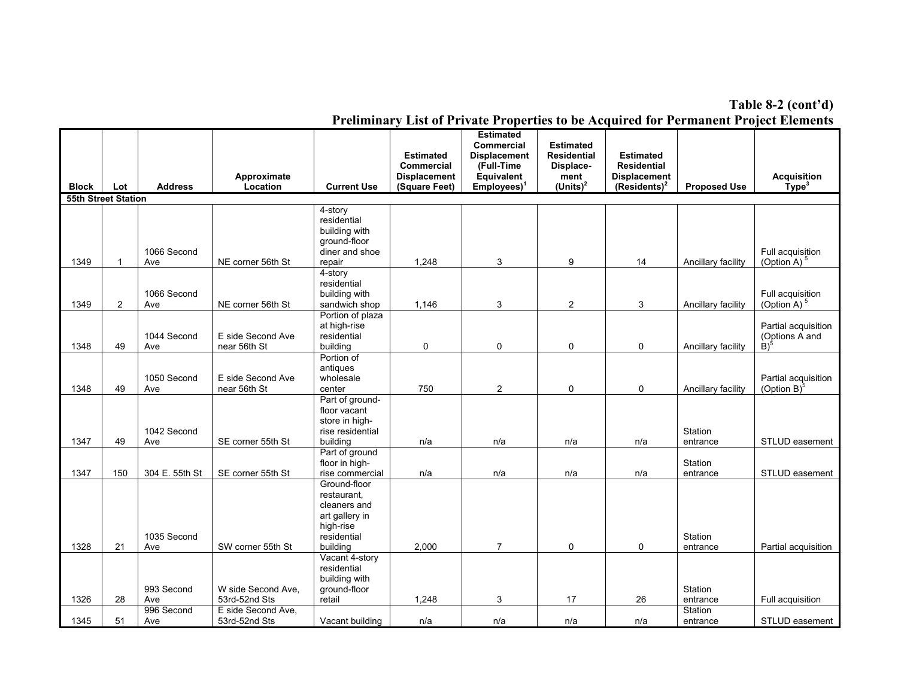**Table 8-2 (cont'd)**

| <b>Block</b>               | Lot      | <b>Address</b>           | Approximate<br>Location                              | <b>Current Use</b>                                                                                    | <b>Estimated</b><br>Commercial<br><b>Displacement</b><br>(Square Feet) | <b>Estimated</b><br><b>Commercial</b><br><b>Displacement</b><br>(Full-Time<br>Equivalent<br>$Employes)^1$ | <b>Estimated</b><br><b>Residential</b><br>Displace-<br>ment<br>$(Units)^2$ | <b>Estimated</b><br><b>Residential</b><br><b>Displacement</b><br>$(Residents)^2$ | <b>Proposed Use</b>             | <b>Acquisition</b><br>Type <sup>3</sup>                  |
|----------------------------|----------|--------------------------|------------------------------------------------------|-------------------------------------------------------------------------------------------------------|------------------------------------------------------------------------|-----------------------------------------------------------------------------------------------------------|----------------------------------------------------------------------------|----------------------------------------------------------------------------------|---------------------------------|----------------------------------------------------------|
| <b>55th Street Station</b> |          |                          |                                                      |                                                                                                       |                                                                        |                                                                                                           |                                                                            |                                                                                  |                                 |                                                          |
| 1349                       | 1        | 1066 Second<br>Ave       | NE corner 56th St                                    | 4-story<br>residential<br>building with<br>ground-floor<br>diner and shoe<br>repair                   | 1.248                                                                  | 3                                                                                                         | 9                                                                          | 14                                                                               | Ancillary facility              | Full acquisition<br>(Option A) $5$                       |
| 1349                       | 2        | 1066 Second<br>Ave       | NE corner 56th St                                    | 4-story<br>residential<br>building with<br>sandwich shop                                              | 1,146                                                                  | 3                                                                                                         | 2                                                                          | 3                                                                                | Ancillary facility              | Full acquisition<br>(Option A) $5$                       |
| 1348                       | 49       | 1044 Second<br>Ave       | E side Second Ave<br>near 56th St                    | Portion of plaza<br>at high-rise<br>residential<br>building                                           | 0                                                                      | 0                                                                                                         | 0                                                                          | 0                                                                                | Ancillary facility              | Partial acquisition<br>(Options A and<br>$\mathrm{B})^5$ |
| 1348                       | 49       | 1050 Second<br>Ave       | E side Second Ave<br>near 56th St                    | Portion of<br>antiques<br>wholesale<br>center                                                         | 750                                                                    | $\overline{c}$                                                                                            | 0                                                                          | 0                                                                                | Ancillary facility              | Partial acquisition<br>(Option B) $\degree$              |
| 1347                       | 49       | 1042 Second<br>Ave       | SE corner 55th St                                    | Part of ground-<br>floor vacant<br>store in high-<br>rise residential<br>building                     | n/a                                                                    | n/a                                                                                                       | n/a                                                                        | n/a                                                                              | Station<br>entrance             | STLUD easement                                           |
| 1347                       | 150      | 304 E. 55th St           | SE corner 55th St                                    | Part of ground<br>floor in high-<br>rise commercial                                                   | n/a                                                                    | n/a                                                                                                       | n/a                                                                        | n/a                                                                              | Station<br>entrance             | STLUD easement                                           |
| 1328                       | 21       | 1035 Second<br>Ave       | SW corner 55th St                                    | Ground-floor<br>restaurant.<br>cleaners and<br>art gallery in<br>high-rise<br>residential<br>building | 2,000                                                                  | $\overline{7}$                                                                                            | $\mathbf 0$                                                                | 0                                                                                | Station<br>entrance             | Partial acquisition                                      |
|                            |          | 993 Second               | W side Second Ave.                                   | Vacant 4-story<br>residential<br>building with<br>ground-floor                                        |                                                                        |                                                                                                           |                                                                            |                                                                                  | <b>Station</b>                  |                                                          |
| 1326<br>1345               | 28<br>51 | Ave<br>996 Second<br>Ave | 53rd-52nd Sts<br>E side Second Ave,<br>53rd-52nd Sts | retail<br>Vacant building                                                                             | 1,248<br>n/a                                                           | 3<br>n/a                                                                                                  | 17<br>n/a                                                                  | 26<br>n/a                                                                        | entrance<br>Station<br>entrance | Full acquisition<br>STLUD easement                       |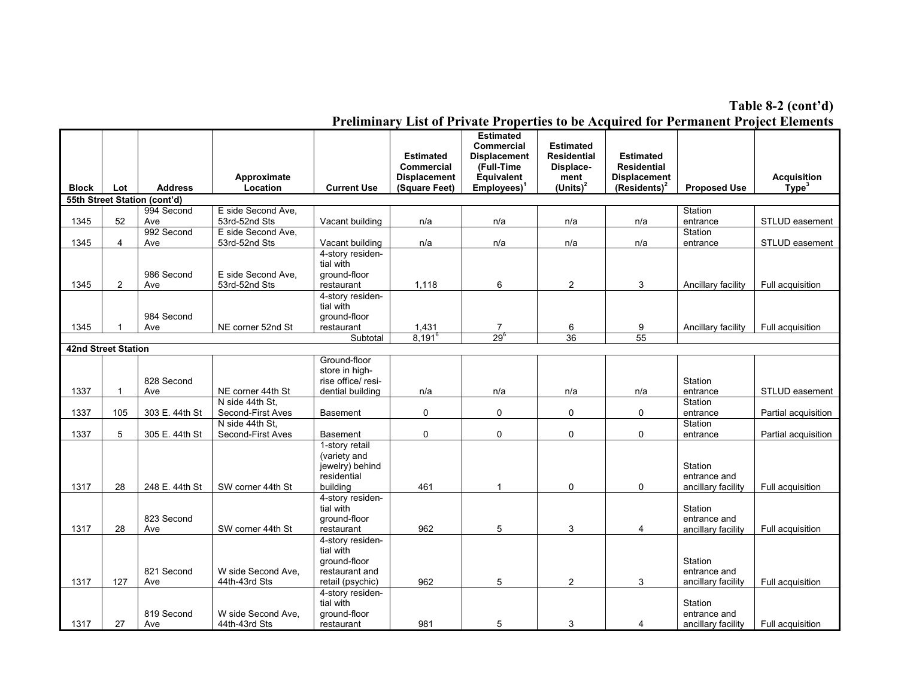**Table 8-2 (cont'd)**

|                            |                         |                              |                                     |                                      | <b>Estimated</b>    | <b>Estimated</b><br><b>Commercial</b><br><b>Displacement</b> | <b>Estimated</b><br><b>Residential</b> | <b>Estimated</b>    |                     |                         |
|----------------------------|-------------------------|------------------------------|-------------------------------------|--------------------------------------|---------------------|--------------------------------------------------------------|----------------------------------------|---------------------|---------------------|-------------------------|
|                            |                         |                              |                                     |                                      | <b>Commercial</b>   | (Full-Time                                                   | Displace-                              | <b>Residential</b>  |                     |                         |
|                            |                         |                              | Approximate                         |                                      | <b>Displacement</b> | Equivalent                                                   | ment                                   | <b>Displacement</b> |                     | <b>Acquisition</b>      |
| <b>Block</b>               | Lot                     | <b>Address</b>               | Location                            | <b>Current Use</b>                   | (Square Feet)       | $Employes)^1$                                                | $(Units)^2$                            | $(Residents)^2$     | <b>Proposed Use</b> | $\dot{\mathsf{Type}}^3$ |
|                            |                         | 55th Street Station (cont'd) |                                     |                                      |                     |                                                              |                                        |                     |                     |                         |
| 1345                       | 52                      | 994 Second<br>Ave            | E side Second Ave.<br>53rd-52nd Sts | Vacant building                      | n/a                 | n/a                                                          | n/a                                    | n/a                 | Station<br>entrance | STLUD easement          |
|                            |                         | 992 Second                   | E side Second Ave.                  |                                      |                     |                                                              |                                        |                     | Station             |                         |
| 1345                       | $\overline{\mathbf{4}}$ | Ave                          | 53rd-52nd Sts                       | Vacant building                      | n/a                 | n/a                                                          | n/a                                    | n/a                 | entrance            | STLUD easement          |
|                            |                         |                              |                                     | 4-story residen-                     |                     |                                                              |                                        |                     |                     |                         |
|                            |                         |                              |                                     | tial with                            |                     |                                                              |                                        |                     |                     |                         |
|                            |                         | 986 Second                   | E side Second Ave,                  | ground-floor                         |                     |                                                              |                                        |                     |                     |                         |
| 1345                       | $\overline{2}$          | Ave                          | 53rd-52nd Sts                       | restaurant                           | 1.118               | 6                                                            | $\overline{2}$                         | 3                   | Ancillary facility  | Full acquisition        |
|                            |                         |                              |                                     | 4-story residen-<br>tial with        |                     |                                                              |                                        |                     |                     |                         |
|                            |                         | 984 Second                   |                                     | ground-floor                         |                     |                                                              |                                        |                     |                     |                         |
| 1345                       |                         | Ave                          | NE corner 52nd St                   | restaurant                           | 1,431               | 7                                                            | 6                                      | 9                   | Ancillary facility  | Full acquisition        |
|                            |                         |                              |                                     | Subtotal                             | $8.191^6$           | $29^{6}$                                                     | 36                                     | $\overline{55}$     |                     |                         |
| <b>42nd Street Station</b> |                         |                              |                                     |                                      |                     |                                                              |                                        |                     |                     |                         |
|                            |                         |                              |                                     | Ground-floor                         |                     |                                                              |                                        |                     |                     |                         |
|                            |                         |                              |                                     | store in high-                       |                     |                                                              |                                        |                     |                     |                         |
|                            |                         | 828 Second                   |                                     | rise office/ resi-                   |                     |                                                              |                                        |                     | Station             |                         |
| 1337                       | -1                      | Ave                          | NE corner 44th St                   | dential building                     | n/a                 | n/a                                                          | n/a                                    | n/a                 | entrance            | STLUD easement          |
|                            |                         |                              | N side 44th St.                     |                                      |                     |                                                              |                                        |                     | Station             |                         |
| 1337                       | 105                     | 303 E. 44th St               | Second-First Aves                   | <b>Basement</b>                      | 0                   | 0                                                            | 0                                      | 0                   | entrance            | Partial acquisition     |
|                            |                         |                              | N side 44th St.                     |                                      |                     |                                                              |                                        |                     | Station             |                         |
| 1337                       | 5                       | 305 E. 44th St               | Second-First Aves                   | <b>Basement</b>                      | 0                   | 0                                                            | 0                                      | 0                   | entrance            | Partial acquisition     |
|                            |                         |                              |                                     | 1-story retail                       |                     |                                                              |                                        |                     |                     |                         |
|                            |                         |                              |                                     | (variety and<br>jewelry) behind      |                     |                                                              |                                        |                     | Station             |                         |
|                            |                         |                              |                                     | residential                          |                     |                                                              |                                        |                     | entrance and        |                         |
| 1317                       | 28                      | 248 E. 44th St               | SW corner 44th St                   | building                             | 461                 | $\mathbf{1}$                                                 | 0                                      | 0                   | ancillary facility  | Full acquisition        |
|                            |                         |                              |                                     | 4-story residen-                     |                     |                                                              |                                        |                     |                     |                         |
|                            |                         |                              |                                     | tial with                            |                     |                                                              |                                        |                     | Station             |                         |
|                            |                         | 823 Second                   |                                     | ground-floor                         |                     |                                                              |                                        |                     | entrance and        |                         |
| 1317                       | 28                      | Ave                          | SW corner 44th St                   | restaurant                           | 962                 | 5                                                            | 3                                      | 4                   | ancillary facility  | Full acquisition        |
|                            |                         |                              |                                     | 4-story residen-                     |                     |                                                              |                                        |                     |                     |                         |
|                            |                         |                              |                                     | tial with                            |                     |                                                              |                                        |                     |                     |                         |
|                            |                         |                              |                                     | ground-floor                         |                     |                                                              |                                        |                     | Station             |                         |
|                            |                         | 821 Second                   | W side Second Ave.                  | restaurant and                       |                     |                                                              |                                        |                     | entrance and        |                         |
| 1317                       | 127                     | Ave                          | 44th-43rd Sts                       | retail (psychic)<br>4-story residen- | 962                 | 5                                                            | 2                                      | 3                   | ancillary facility  | Full acquisition        |
|                            |                         |                              |                                     | tial with                            |                     |                                                              |                                        |                     | Station             |                         |
|                            |                         | 819 Second                   | W side Second Ave.                  | ground-floor                         |                     |                                                              |                                        |                     | entrance and        |                         |
| 1317                       | 27                      | Ave                          | 44th-43rd Sts                       | restaurant                           | 981                 | 5                                                            | 3                                      | 4                   | ancillary facility  | Full acquisition        |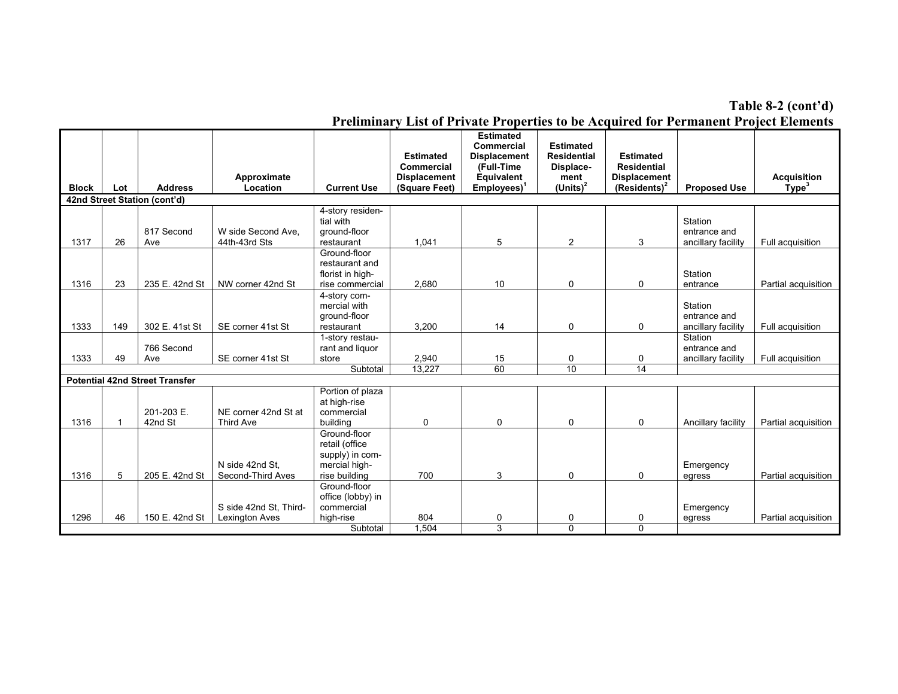**Table 8-2 (cont'd)**

|              |     |                                       |                                      |                                                                                     | <b>Estimated</b>                     | <b>Estimated</b><br><b>Commercial</b><br><b>Displacement</b> | <b>Estimated</b><br><b>Residential</b> | <b>Estimated</b>                       |                                               |                                         |
|--------------|-----|---------------------------------------|--------------------------------------|-------------------------------------------------------------------------------------|--------------------------------------|--------------------------------------------------------------|----------------------------------------|----------------------------------------|-----------------------------------------------|-----------------------------------------|
|              |     |                                       |                                      |                                                                                     | Commercial                           | (Full-Time<br><b>Equivalent</b>                              | Displace-                              | <b>Residential</b>                     |                                               |                                         |
| <b>Block</b> | Lot | <b>Address</b>                        | Approximate<br>Location              | <b>Current Use</b>                                                                  | <b>Displacement</b><br>(Square Feet) | Employees) <sup>1</sup>                                      | ment<br>(Units) $2$                    | <b>Displacement</b><br>$(Residents)^2$ | <b>Proposed Use</b>                           | <b>Acquisition</b><br>Type <sup>3</sup> |
|              |     | 42nd Street Station (cont'd)          |                                      |                                                                                     |                                      |                                                              |                                        |                                        |                                               |                                         |
| 1317         | 26  | 817 Second<br>Ave                     | W side Second Ave,<br>44th-43rd Sts  | 4-story residen-<br>tial with<br>ground-floor<br>restaurant                         | 1.041                                | 5                                                            | $\overline{2}$                         | 3                                      | Station<br>entrance and<br>ancillary facility | Full acquisition                        |
|              |     |                                       |                                      | Ground-floor                                                                        |                                      |                                                              |                                        |                                        |                                               |                                         |
| 1316         | 23  | 235 E. 42nd St                        | NW corner 42nd St                    | restaurant and<br>florist in high-<br>rise commercial                               | 2.680                                | 10                                                           | $\Omega$                               | $\Omega$                               | Station<br>entrance                           | Partial acquisition                     |
| 1333         | 149 | 302 E. 41st St                        | SE corner 41st St                    | 4-story com-<br>mercial with<br>ground-floor<br>restaurant                          | 3.200                                | 14                                                           | 0                                      | 0                                      | Station<br>entrance and<br>ancillary facility | Full acquisition                        |
| 1333         | 49  | 766 Second<br>Ave                     | SE corner 41st St                    | 1-story restau-<br>rant and liquor<br>store                                         | 2,940                                | 15                                                           | $\Omega$                               | 0                                      | Station<br>entrance and<br>ancillary facility | Full acquisition                        |
|              |     |                                       |                                      | Subtotal                                                                            | 13,227                               | 60                                                           | $\overline{10}$                        | $\overline{14}$                        |                                               |                                         |
|              |     | <b>Potential 42nd Street Transfer</b> |                                      |                                                                                     |                                      |                                                              |                                        |                                        |                                               |                                         |
| 1316         | 1   | 201-203 E.<br>42nd St                 | NE corner 42nd St at<br>Third Ave    | Portion of plaza<br>at high-rise<br>commercial<br>building                          | 0                                    | 0                                                            | $\Omega$                               | $\Omega$                               | Ancillary facility                            | Partial acquisition                     |
| 1316         | 5   | 205 E. 42nd St                        | N side 42nd St.<br>Second-Third Aves | Ground-floor<br>retail (office<br>supply) in com-<br>mercial high-<br>rise building | 700                                  | 3                                                            | 0                                      | 0                                      | Emergency<br>egress                           | Partial acquisition                     |
|              |     |                                       | S side 42nd St, Third-               | Ground-floor<br>office (lobby) in<br>commercial                                     |                                      |                                                              |                                        |                                        | Emergency                                     |                                         |
| 1296         | 46  | 150 E. 42nd St                        | Lexington Aves                       | high-rise                                                                           | 804                                  | 0                                                            | 0                                      | 0                                      | egress                                        | Partial acquisition                     |
|              |     |                                       |                                      | Subtotal                                                                            | 1.504                                | $\overline{3}$                                               | 0                                      | $\Omega$                               |                                               |                                         |

**Preliminary List of Private Properties to be Acquired for Permanent Project Elements**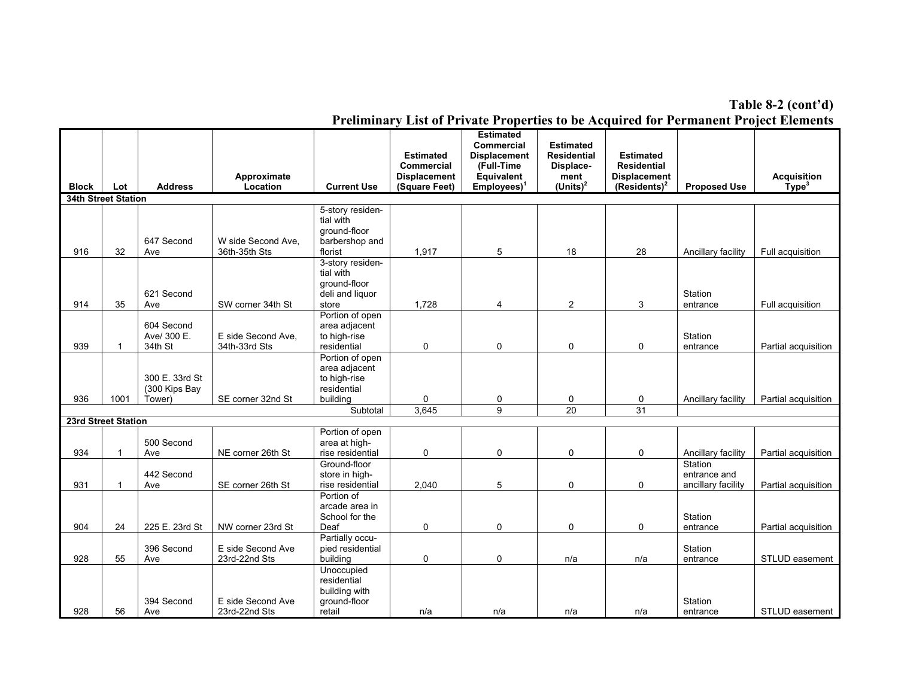**Table 8-2 (cont'd)**

| <b>Block</b>               | Lot          | <b>Address</b>                            | Approximate<br>Location             | <b>Current Use</b>                                                                      | <b>Estimated</b><br><b>Commercial</b><br><b>Displacement</b><br>(Square Feet) | <b>Estimated</b><br><b>Commercial</b><br><b>Displacement</b><br>(Full-Time<br><b>Equivalent</b><br>Employees) <sup>1</sup> | <b>Estimated</b><br><b>Residential</b><br>Displace-<br>ment<br>$(Units)^2$ | <b>Estimated</b><br><b>Residential</b><br><b>Displacement</b><br>(Residents) <sup>2</sup> | <b>Proposed Use</b>                           | <b>Acquisition</b><br>Type <sup>3</sup> |
|----------------------------|--------------|-------------------------------------------|-------------------------------------|-----------------------------------------------------------------------------------------|-------------------------------------------------------------------------------|----------------------------------------------------------------------------------------------------------------------------|----------------------------------------------------------------------------|-------------------------------------------------------------------------------------------|-----------------------------------------------|-----------------------------------------|
| <b>34th Street Station</b> |              |                                           |                                     |                                                                                         |                                                                               |                                                                                                                            |                                                                            |                                                                                           |                                               |                                         |
| 916                        | 32           | 647 Second<br>Ave                         | W side Second Ave.<br>36th-35th Sts | 5-story residen-<br>tial with<br>ground-floor<br>barbershop and<br>florist              | 1,917                                                                         | 5                                                                                                                          | 18                                                                         | 28                                                                                        | Ancillary facility                            | Full acquisition                        |
| 914                        | 35           | 621 Second<br>Ave                         | SW corner 34th St                   | 3-story residen-<br>tial with<br>around-floor<br>deli and liquor<br>store               | 1,728                                                                         | 4                                                                                                                          | $\overline{2}$                                                             | 3                                                                                         | Station<br>entrance                           | Full acquisition                        |
| 939                        |              | 604 Second<br>Ave/ 300 E.<br>34th St      | E side Second Ave.<br>34th-33rd Sts | Portion of open<br>area adjacent<br>to high-rise<br>residential                         | $\mathbf 0$                                                                   | 0                                                                                                                          | $\mathbf 0$                                                                | 0                                                                                         | Station<br>entrance                           | Partial acquisition                     |
| 936                        | 1001         | 300 E. 33rd St<br>(300 Kips Bay<br>Tower) | SE corner 32nd St                   | Portion of open<br>area adjacent<br>to high-rise<br>residential<br>building<br>Subtotal | 0<br>3,645                                                                    | 0<br>$\overline{9}$                                                                                                        | 0<br>20                                                                    | 0<br>31                                                                                   | Ancillary facility                            | Partial acquisition                     |
| 23rd Street Station        |              |                                           |                                     |                                                                                         |                                                                               |                                                                                                                            |                                                                            |                                                                                           |                                               |                                         |
| 934                        | $\mathbf{1}$ | 500 Second<br>Ave                         | NE corner 26th St                   | Portion of open<br>area at high-<br>rise residential                                    | 0                                                                             | 0                                                                                                                          | $\pmb{0}$                                                                  | 0                                                                                         | Ancillary facility                            | Partial acquisition                     |
| 931                        |              | 442 Second<br>Ave                         | SE corner 26th St                   | Ground-floor<br>store in high-<br>rise residential                                      | 2,040                                                                         | 5                                                                                                                          | $\mathbf 0$                                                                | $\mathbf 0$                                                                               | Station<br>entrance and<br>ancillary facility | Partial acquisition                     |
| 904                        | 24           | 225 E. 23rd St                            | NW corner 23rd St                   | Portion of<br>arcade area in<br>School for the<br>Deaf                                  | $\pmb{0}$                                                                     | 0                                                                                                                          | $\pmb{0}$                                                                  | 0                                                                                         | Station<br>entrance                           | Partial acquisition                     |
| 928                        | 55           | 396 Second<br>Ave                         | E side Second Ave<br>23rd-22nd Sts  | Partially occu-<br>pied residential<br>building                                         | 0                                                                             | 0                                                                                                                          | n/a                                                                        | n/a                                                                                       | Station<br>entrance                           | STLUD easement                          |
| 928                        | 56           | 394 Second<br>Ave                         | E side Second Ave<br>23rd-22nd Sts  | Unoccupied<br>residential<br>building with<br>ground-floor<br>retail                    | n/a                                                                           | n/a                                                                                                                        | n/a                                                                        | n/a                                                                                       | Station<br>entrance                           | STLUD easement                          |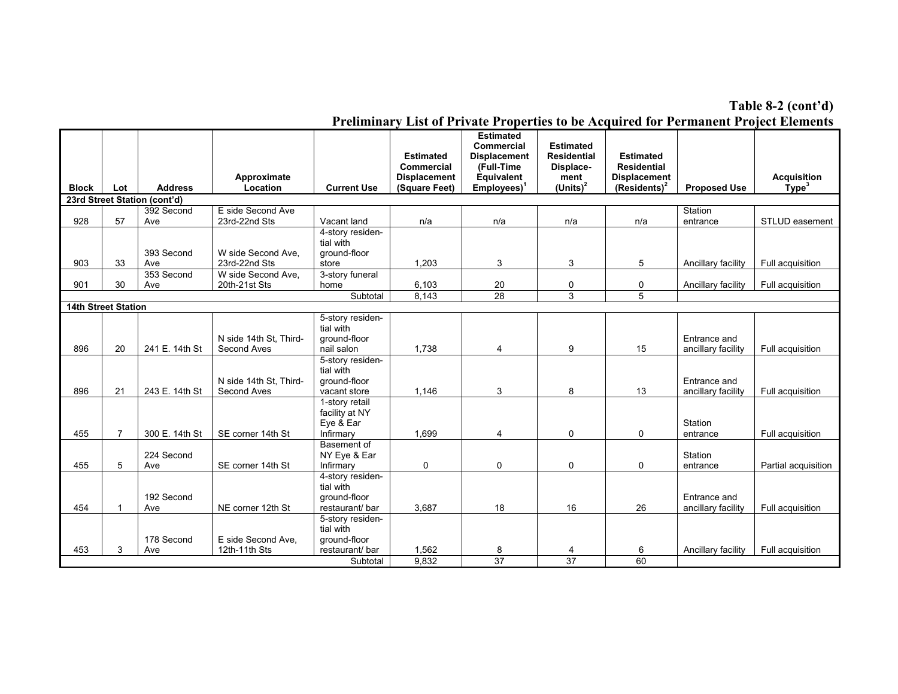**Table 8-2 (cont'd)**

|                            |                |                              |                                       |                                                                  | <b>Estimated</b><br>Commercial       | <b>Estimated</b><br><b>Commercial</b><br><b>Displacement</b><br>(Full-Time | <b>Estimated</b><br><b>Residential</b><br>Displace- | <b>Estimated</b><br><b>Residential</b>          |                                    |                                         |
|----------------------------|----------------|------------------------------|---------------------------------------|------------------------------------------------------------------|--------------------------------------|----------------------------------------------------------------------------|-----------------------------------------------------|-------------------------------------------------|------------------------------------|-----------------------------------------|
| <b>Block</b>               | Lot            | <b>Address</b>               | Approximate<br>Location               | <b>Current Use</b>                                               | <b>Displacement</b><br>(Square Feet) | Equivalent<br>$Employes)^1$                                                | ment<br>(Units) $2$                                 | <b>Displacement</b><br>(Residents) <sup>2</sup> | <b>Proposed Use</b>                | <b>Acquisition</b><br>Type <sup>3</sup> |
|                            |                | 23rd Street Station (cont'd) |                                       |                                                                  |                                      |                                                                            |                                                     |                                                 |                                    |                                         |
|                            |                | 392 Second                   | E side Second Ave                     |                                                                  |                                      |                                                                            |                                                     |                                                 | Station                            |                                         |
| 928                        | 57             | Ave                          | 23rd-22nd Sts                         | Vacant land                                                      | n/a                                  | n/a                                                                        | n/a                                                 | n/a                                             | entrance                           | STLUD easement                          |
|                            |                | 393 Second                   | W side Second Ave.                    | 4-story residen-<br>tial with<br>ground-floor                    |                                      |                                                                            |                                                     |                                                 |                                    |                                         |
| 903                        | 33             | Ave                          | 23rd-22nd Sts                         | store                                                            | 1.203                                | 3                                                                          | 3                                                   | 5                                               | Ancillary facility                 | Full acquisition                        |
|                            |                | 353 Second                   | W side Second Ave.                    | 3-story funeral                                                  |                                      |                                                                            |                                                     |                                                 |                                    |                                         |
| 901                        | 30             | Ave                          | 20th-21st Sts                         | home                                                             | 6,103                                | 20                                                                         | 0                                                   | 0                                               | Ancillary facility                 | Full acquisition                        |
|                            |                |                              |                                       | Subtotal                                                         | 8,143                                | 28                                                                         | 3                                                   | $\overline{5}$                                  |                                    |                                         |
| <b>14th Street Station</b> |                |                              |                                       |                                                                  |                                      |                                                                            |                                                     |                                                 |                                    |                                         |
| 896                        | 20             | 241 E. 14th St               | N side 14th St, Third-<br>Second Aves | 5-story residen-<br>tial with<br>ground-floor<br>nail salon      | 1.738                                | 4                                                                          | 9                                                   | 15                                              | Entrance and<br>ancillary facility | Full acquisition                        |
| 896                        | 21             | 243 E. 14th St               | N side 14th St. Third-<br>Second Aves | 5-story residen-<br>tial with<br>around-floor<br>vacant store    | 1.146                                | 3                                                                          | 8                                                   | 13                                              | Entrance and<br>ancillary facility | Full acquisition                        |
| 455                        | $\overline{7}$ | 300 E. 14th St               | SE corner 14th St                     | 1-story retail<br>facility at NY<br>Eye & Ear<br>Infirmary       | 1,699                                | 4                                                                          | $\mathbf 0$                                         | 0                                               | Station<br>entrance                | Full acquisition                        |
| 455                        | 5              | 224 Second<br>Ave            | SE corner 14th St                     | Basement of<br>NY Eye & Ear<br>Infirmary                         | 0                                    | 0                                                                          | 0                                                   | 0                                               | Station<br>entrance                | Partial acquisition                     |
| 454                        |                | 192 Second<br>Ave            | NE corner 12th St                     | 4-story residen-<br>tial with<br>ground-floor<br>restaurant/ bar | 3,687                                | 18                                                                         | 16                                                  | 26                                              | Entrance and<br>ancillary facility | Full acquisition                        |
|                            |                | 178 Second                   | E side Second Ave.                    | 5-story residen-<br>tial with<br>ground-floor                    |                                      |                                                                            |                                                     |                                                 |                                    |                                         |
| 453                        | 3              | Ave                          | 12th-11th Sts                         | restaurant/bar                                                   | 1,562                                | 8                                                                          | 4                                                   | 6                                               | Ancillary facility                 | Full acquisition                        |
|                            |                |                              |                                       | Subtotal                                                         | 9.832                                | 37                                                                         | $\overline{37}$                                     | 60                                              |                                    |                                         |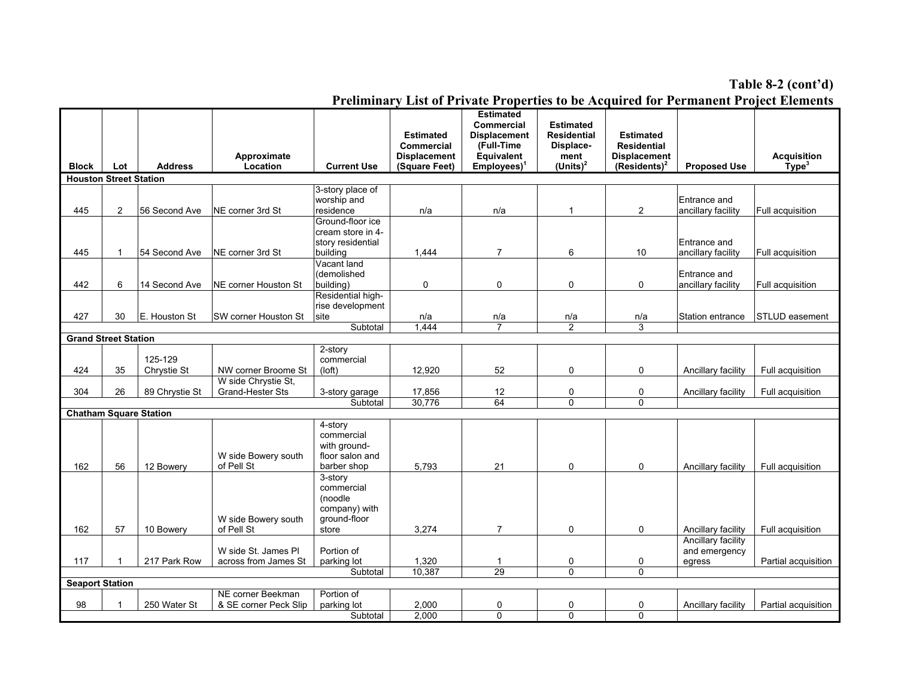#### **Table 8-2 (cont'd)**

|                               |                |                |                                             |                                | <b>Estimated</b>                     | <b>Estimated</b><br>Commercial<br><b>Displacement</b> | <b>Estimated</b><br>Residential | <b>Estimated</b>                       |                     |                                         |
|-------------------------------|----------------|----------------|---------------------------------------------|--------------------------------|--------------------------------------|-------------------------------------------------------|---------------------------------|----------------------------------------|---------------------|-----------------------------------------|
|                               |                |                |                                             |                                | Commercial                           | (Full-Time                                            | Displace-                       | Residential                            |                     |                                         |
| <b>Block</b>                  | Lot            | <b>Address</b> | Approximate<br>Location                     | <b>Current Use</b>             | <b>Displacement</b><br>(Square Feet) | Equivalent<br>$Employes)^1$                           | ment<br>$(Units)^2$             | <b>Displacement</b><br>$(Residents)^2$ | <b>Proposed Use</b> | <b>Acquisition</b><br>Type <sup>3</sup> |
| <b>Houston Street Station</b> |                |                |                                             |                                |                                      |                                                       |                                 |                                        |                     |                                         |
|                               |                |                |                                             | 3-story place of               |                                      |                                                       |                                 |                                        |                     |                                         |
|                               |                |                |                                             | worship and                    |                                      |                                                       |                                 |                                        | Entrance and        |                                         |
| 445                           | $\overline{2}$ | 56 Second Ave  | NE corner 3rd St                            | residence<br>Ground-floor ice  | n/a                                  | n/a                                                   | 1                               | $\overline{2}$                         | ancillary facility  | Full acquisition                        |
|                               |                |                |                                             | cream store in 4-              |                                      |                                                       |                                 |                                        |                     |                                         |
|                               |                |                |                                             | story residential              |                                      |                                                       |                                 |                                        | Entrance and        |                                         |
| 445                           | $\mathbf 1$    | 54 Second Ave  | NE corner 3rd St                            | building                       | 1,444                                | $\overline{7}$                                        | 6                               | 10                                     | ancillary facility  | Full acquisition                        |
|                               |                |                |                                             | Vacant land                    |                                      |                                                       |                                 |                                        |                     |                                         |
|                               |                |                |                                             | (demolished                    |                                      |                                                       |                                 |                                        | Entrance and        |                                         |
| 442                           | 6              | 14 Second Ave  | <b>NE corner Houston St</b>                 | building)                      | 0                                    | 0                                                     | 0                               | 0                                      | ancillary facility  | Full acquisition                        |
|                               |                |                |                                             | Residential high-              |                                      |                                                       |                                 |                                        |                     |                                         |
|                               |                |                |                                             | rise development               |                                      |                                                       |                                 |                                        |                     |                                         |
| 427                           | 30             | E. Houston St  | SW corner Houston St                        | site                           | n/a<br>1,444                         | n/a<br>$\overline{7}$                                 | n/a<br>$\overline{2}$           | n/a<br>3                               | Station entrance    | STLUD easement                          |
| <b>Grand Street Station</b>   |                |                |                                             | Subtotal                       |                                      |                                                       |                                 |                                        |                     |                                         |
|                               |                |                |                                             | 2-story                        |                                      |                                                       |                                 |                                        |                     |                                         |
|                               |                | 125-129        |                                             | commercial                     |                                      |                                                       |                                 |                                        |                     |                                         |
| 424                           | 35             | Chrystie St    | NW corner Broome St                         | $($ loft $)$                   | 12,920                               | 52                                                    | 0                               | 0                                      | Ancillary facility  | Full acquisition                        |
|                               |                |                | W side Chrystie St,                         |                                |                                      |                                                       |                                 |                                        |                     |                                         |
| 304                           | 26             | 89 Chrystie St | <b>Grand-Hester Sts</b>                     | 3-story garage                 | 17,856                               | 12                                                    | 0                               | $\mathbf 0$                            | Ancillary facility  | Full acquisition                        |
|                               |                |                |                                             | Subtotal                       | 30,776                               | 64                                                    | $\Omega$                        | $\Omega$                               |                     |                                         |
| <b>Chatham Square Station</b> |                |                |                                             |                                |                                      |                                                       |                                 |                                        |                     |                                         |
|                               |                |                |                                             | 4-story                        |                                      |                                                       |                                 |                                        |                     |                                         |
|                               |                |                |                                             | commercial                     |                                      |                                                       |                                 |                                        |                     |                                         |
|                               |                |                | W side Bowery south                         | with ground-                   |                                      |                                                       |                                 |                                        |                     |                                         |
| 162                           | 56             | 12 Bowery      | of Pell St                                  | floor salon and<br>barber shop | 5.793                                | 21                                                    | 0                               | 0                                      | Ancillary facility  | Full acquisition                        |
|                               |                |                |                                             | 3-story                        |                                      |                                                       |                                 |                                        |                     |                                         |
|                               |                |                |                                             | commercial                     |                                      |                                                       |                                 |                                        |                     |                                         |
|                               |                |                |                                             | (noodle                        |                                      |                                                       |                                 |                                        |                     |                                         |
|                               |                |                |                                             | company) with                  |                                      |                                                       |                                 |                                        |                     |                                         |
|                               |                |                | W side Bowery south                         | ground-floor                   |                                      |                                                       |                                 |                                        |                     |                                         |
| 162                           | 57             | 10 Bowery      | of Pell St                                  | store                          | 3,274                                | $\overline{7}$                                        | 0                               | 0                                      | Ancillary facility  | Full acquisition                        |
|                               |                |                |                                             |                                |                                      |                                                       |                                 |                                        | Ancillary facility  |                                         |
| 117                           |                | 217 Park Row   | W side St. James PI<br>across from James St | Portion of                     | 1,320                                | $\mathbf{1}$                                          | 0                               |                                        | and emergency       | Partial acquisition                     |
|                               |                |                |                                             | parking lot<br>Subtotal        | 10,387                               | 29                                                    | 0                               | 0<br>$\Omega$                          | egress              |                                         |
| <b>Seaport Station</b>        |                |                |                                             |                                |                                      |                                                       |                                 |                                        |                     |                                         |
|                               |                |                | NE corner Beekman                           | Portion of                     |                                      |                                                       |                                 |                                        |                     |                                         |
| 98                            |                | 250 Water St   | & SE corner Peck Slip                       | parking lot                    | 2,000                                | 0                                                     | 0                               | 0                                      | Ancillary facility  | Partial acquisition                     |
|                               |                |                |                                             | Subtotal                       | 2,000                                | $\mathbf 0$                                           | 0                               | $\Omega$                               |                     |                                         |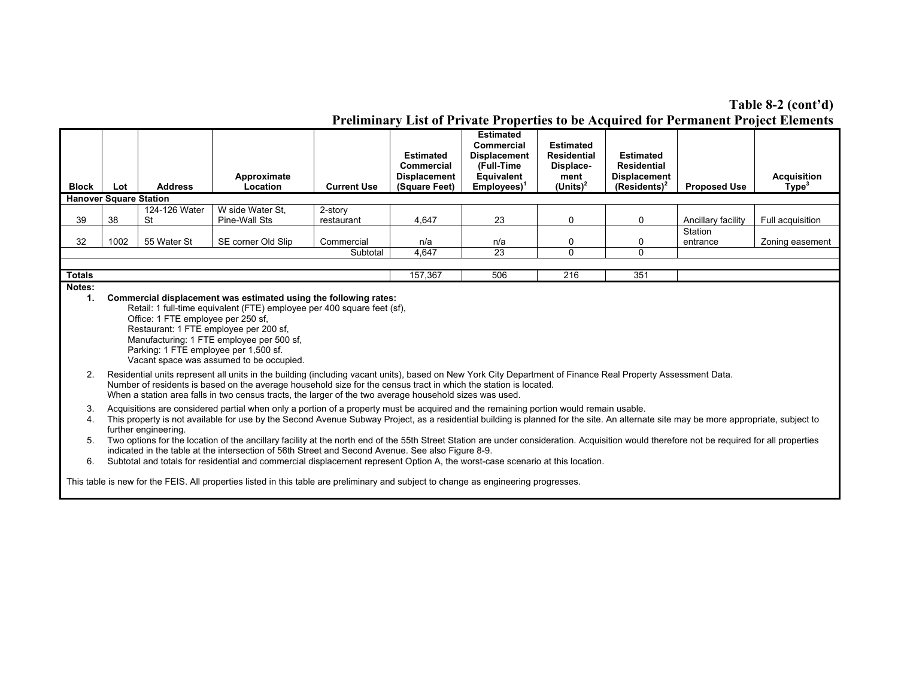# **Table 8-2 (cont'd)**

|                               |                                                                                                                                                                                                                                                                                                                                                                                                                                                                                                                                                                                                                                                          |                                                                             |                                                                                                                                                                                                                                                                                                                                                                                            |                       |                                                                        |                                                                                                      |                                                                            |                                                                           |                     | <b>Preliminary List of Private Properties to be Acquired for Permanent Project Elements</b> |
|-------------------------------|----------------------------------------------------------------------------------------------------------------------------------------------------------------------------------------------------------------------------------------------------------------------------------------------------------------------------------------------------------------------------------------------------------------------------------------------------------------------------------------------------------------------------------------------------------------------------------------------------------------------------------------------------------|-----------------------------------------------------------------------------|--------------------------------------------------------------------------------------------------------------------------------------------------------------------------------------------------------------------------------------------------------------------------------------------------------------------------------------------------------------------------------------------|-----------------------|------------------------------------------------------------------------|------------------------------------------------------------------------------------------------------|----------------------------------------------------------------------------|---------------------------------------------------------------------------|---------------------|---------------------------------------------------------------------------------------------|
| <b>Block</b>                  | Lot                                                                                                                                                                                                                                                                                                                                                                                                                                                                                                                                                                                                                                                      | <b>Address</b>                                                              | Approximate<br>Location                                                                                                                                                                                                                                                                                                                                                                    | <b>Current Use</b>    | <b>Estimated</b><br>Commercial<br><b>Displacement</b><br>(Square Feet) | <b>Estimated</b><br>Commercial<br><b>Displacement</b><br>(Full-Time<br>Equivalent<br>$Employes)^{1}$ | <b>Estimated</b><br><b>Residential</b><br>Displace-<br>ment<br>(Units) $2$ | <b>Estimated</b><br>Residential<br><b>Displacement</b><br>$(Residents)^2$ | <b>Proposed Use</b> | <b>Acquisition</b><br>Type <sup>3</sup>                                                     |
| <b>Hanover Square Station</b> |                                                                                                                                                                                                                                                                                                                                                                                                                                                                                                                                                                                                                                                          |                                                                             |                                                                                                                                                                                                                                                                                                                                                                                            |                       |                                                                        |                                                                                                      |                                                                            |                                                                           |                     |                                                                                             |
| 39                            | 38                                                                                                                                                                                                                                                                                                                                                                                                                                                                                                                                                                                                                                                       | 124-126 Water<br>St                                                         | W side Water St.<br>Pine-Wall Sts                                                                                                                                                                                                                                                                                                                                                          | 2-story<br>restaurant | 4,647                                                                  | 23                                                                                                   | 0                                                                          | 0                                                                         | Ancillary facility  | Full acquisition                                                                            |
| 32                            | 1002                                                                                                                                                                                                                                                                                                                                                                                                                                                                                                                                                                                                                                                     | 55 Water St                                                                 | SE corner Old Slip                                                                                                                                                                                                                                                                                                                                                                         | Commercial            | n/a                                                                    | n/a                                                                                                  | 0                                                                          | 0                                                                         | Station<br>entrance | Zoning easement                                                                             |
|                               |                                                                                                                                                                                                                                                                                                                                                                                                                                                                                                                                                                                                                                                          |                                                                             |                                                                                                                                                                                                                                                                                                                                                                                            | Subtotal              | 4,647                                                                  | 23                                                                                                   | $\mathbf{0}$                                                               | $\Omega$                                                                  |                     |                                                                                             |
|                               |                                                                                                                                                                                                                                                                                                                                                                                                                                                                                                                                                                                                                                                          |                                                                             |                                                                                                                                                                                                                                                                                                                                                                                            |                       |                                                                        |                                                                                                      |                                                                            |                                                                           |                     |                                                                                             |
| <b>Totals</b>                 |                                                                                                                                                                                                                                                                                                                                                                                                                                                                                                                                                                                                                                                          |                                                                             |                                                                                                                                                                                                                                                                                                                                                                                            |                       | 157,367                                                                | 506                                                                                                  | 216                                                                        | 351                                                                       |                     |                                                                                             |
| Notes:                        |                                                                                                                                                                                                                                                                                                                                                                                                                                                                                                                                                                                                                                                          |                                                                             |                                                                                                                                                                                                                                                                                                                                                                                            |                       |                                                                        |                                                                                                      |                                                                            |                                                                           |                     |                                                                                             |
| 1.                            |                                                                                                                                                                                                                                                                                                                                                                                                                                                                                                                                                                                                                                                          | Office: 1 FTE employee per 250 sf,<br>Parking: 1 FTE employee per 1,500 sf. | Commercial displacement was estimated using the following rates:<br>Retail: 1 full-time equivalent (FTE) employee per 400 square feet (sf),<br>Restaurant: 1 FTE employee per 200 sf,<br>Manufacturing: 1 FTE employee per 500 sf,<br>Vacant space was assumed to be occupied.                                                                                                             |                       |                                                                        |                                                                                                      |                                                                            |                                                                           |                     |                                                                                             |
| 2.                            |                                                                                                                                                                                                                                                                                                                                                                                                                                                                                                                                                                                                                                                          |                                                                             | Residential units represent all units in the building (including vacant units), based on New York City Department of Finance Real Property Assessment Data.<br>Number of residents is based on the average household size for the census tract in which the station is located.<br>When a station area falls in two census tracts, the larger of the two average household sizes was used. |                       |                                                                        |                                                                                                      |                                                                            |                                                                           |                     |                                                                                             |
| 3.<br>4.<br>5.                | Acquisitions are considered partial when only a portion of a property must be acquired and the remaining portion would remain usable.<br>This property is not available for use by the Second Avenue Subway Project, as a residential building is planned for the site. An alternate site may be more appropriate, subject to<br>further engineering.<br>Two options for the location of the ancillary facility at the north end of the 55th Street Station are under consideration. Acquisition would therefore not be required for all properties<br>indicated in the table at the intersection of 56th Street and Second Avenue. See also Figure 8-9. |                                                                             |                                                                                                                                                                                                                                                                                                                                                                                            |                       |                                                                        |                                                                                                      |                                                                            |                                                                           |                     |                                                                                             |
| 6.                            |                                                                                                                                                                                                                                                                                                                                                                                                                                                                                                                                                                                                                                                          |                                                                             | Subtotal and totals for residential and commercial displacement represent Option A, the worst-case scenario at this location.<br>This table is new for the FEIS. All properties listed in this table are preliminary and subject to change as engineering progresses.                                                                                                                      |                       |                                                                        |                                                                                                      |                                                                            |                                                                           |                     |                                                                                             |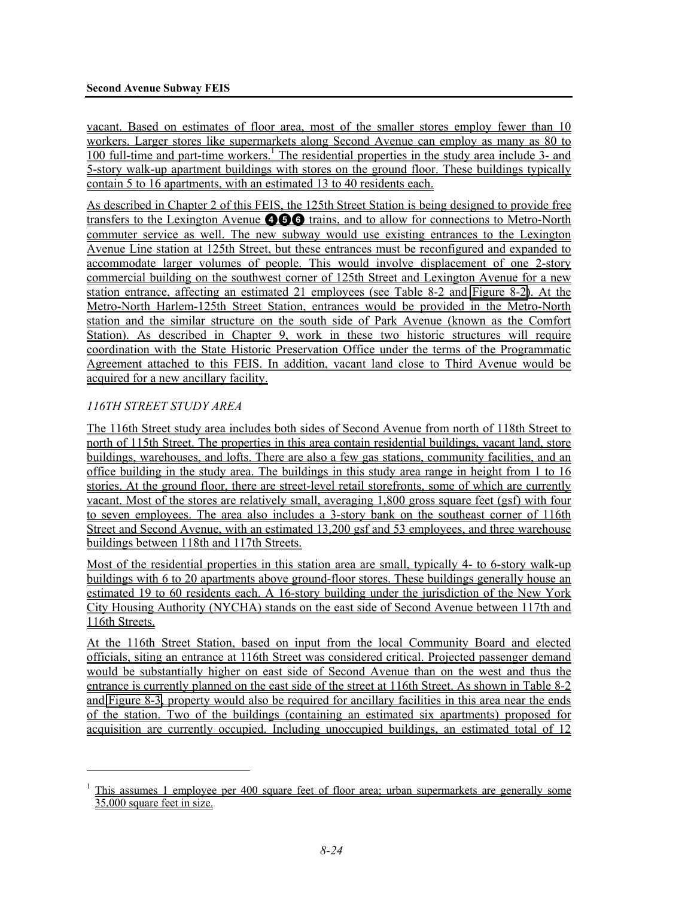vacant. Based on estimates of floor area, most of the smaller stores employ fewer than 10 workers. Larger stores like supermarkets along Second Avenue can employ as many as 80 to 100 full-time and part-time workers.<sup>1</sup> The residential properties in the study area include 3- and 5-story walk-up apartment buildings with stores on the ground floor. These buildings typically contain 5 to 16 apartments, with an estimated 13 to 40 residents each.

As described in Chapter 2 of this FEIS, the 125th Street Station is being designed to provide free transfers to the Lexington Avenue 456 trains, and to allow for connections to Metro-North commuter service as well. The new subway would use existing entrances to the Lexington Avenue Line station at 125th Street, but these entrances must be reconfigured and expanded to accommodate larger volumes of people. This would involve displacement of one 2-story commercial building on the southwest corner of 125th Street and Lexington Avenue for a new station entrance, affecting an estimated 21 employees (see Table 8-2 and Figure 8-2). At the Metro-North Harlem-125th Street Station, entrances would be provided in the Metro-North station and the similar structure on the south side of Park Avenue (known as the Comfort Station). As described in Chapter 9, work in these two historic structures will require coordination with the State Historic Preservation Office under the terms of the Programmatic Agreement attached to this FEIS. In addition, vacant land close to Third Avenue would be acquired for a new ancillary facility.

# *116TH STREET STUDY AREA*

l

The 116th Street study area includes both sides of Second Avenue from north of 118th Street to north of 115th Street. The properties in this area contain residential buildings, vacant land, store buildings, warehouses, and lofts. There are also a few gas stations, community facilities, and an office building in the study area. The buildings in this study area range in height from 1 to 16 stories. At the ground floor, there are street-level retail storefronts, some of which are currently vacant. Most of the stores are relatively small, averaging 1,800 gross square feet (gsf) with four to seven employees. The area also includes a 3-story bank on the southeast corner of 116th Street and Second Avenue, with an estimated 13,200 gsf and 53 employees, and three warehouse buildings between 118th and 117th Streets.

Most of the residential properties in this station area are small, typically 4- to 6-story walk-up buildings with 6 to 20 apartments above ground-floor stores. These buildings generally house an estimated 19 to 60 residents each. A 16-story building under the jurisdiction of the New York City Housing Authority (NYCHA) stands on the east side of Second Avenue between 117th and 116th Streets.

At the 116th Street Station, based on input from the local Community Board and elected officials, siting an entrance at 116th Street was considered critical. Projected passenger demand would be substantially higher on east side of Second Avenue than on the west and thus the entrance is currently planned on the east side of the street at 116th Street. As shown in Table 8-2 and Figure 8-3, property would also be required for ancillary facilities in this area near the ends of the station. Two of the buildings (containing an estimated six apartments) proposed for acquisition are currently occupied. Including unoccupied buildings, an estimated total of 12

<sup>1</sup> This assumes 1 employee per 400 square feet of floor area; urban supermarkets are generally some 35,000 square feet in size.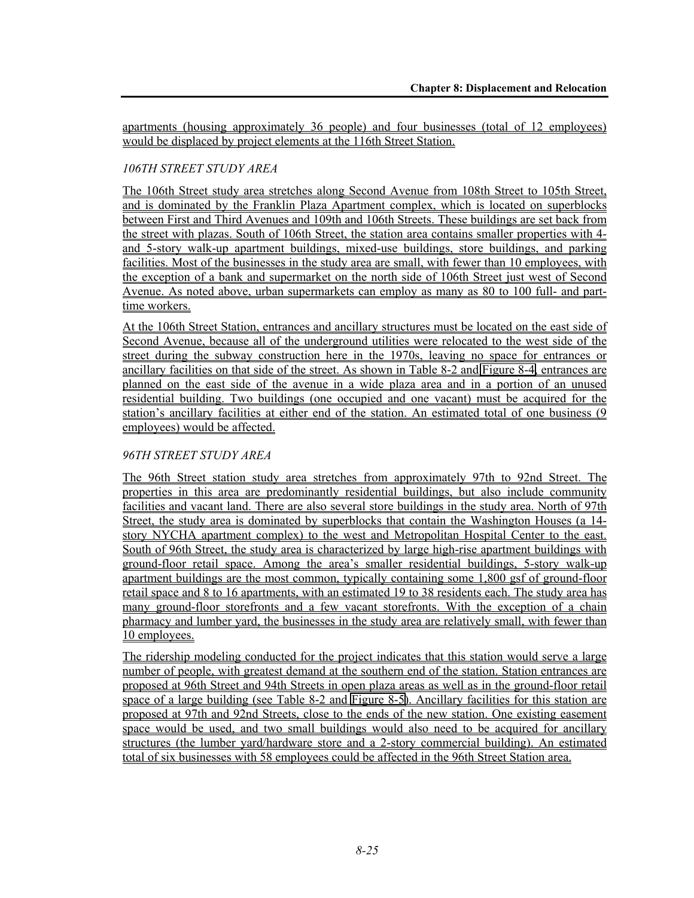apartments (housing approximately 36 people) and four businesses (total of 12 employees) would be displaced by project elements at the 116th Street Station.

# *106TH STREET STUDY AREA*

The 106th Street study area stretches along Second Avenue from 108th Street to 105th Street, and is dominated by the Franklin Plaza Apartment complex, which is located on superblocks between First and Third Avenues and 109th and 106th Streets. These buildings are set back from the street with plazas. South of 106th Street, the station area contains smaller properties with 4 and 5-story walk-up apartment buildings, mixed-use buildings, store buildings, and parking facilities. Most of the businesses in the study area are small, with fewer than 10 employees, with the exception of a bank and supermarket on the north side of 106th Street just west of Second Avenue. As noted above, urban supermarkets can employ as many as 80 to 100 full- and parttime workers.

At the 106th Street Station, entrances and ancillary structures must be located on the east side of Second Avenue, because all of the underground utilities were relocated to the west side of the street during the subway construction here in the 1970s, leaving no space for entrances or ancillary facilities on that side of the street. As shown in Table 8-2 and Figure 8-4, entrances are planned on the east side of the avenue in a wide plaza area and in a portion of an unused residential building. Two buildings (one occupied and one vacant) must be acquired for the station's ancillary facilities at either end of the station. An estimated total of one business (9 employees) would be affected.

# *96TH STREET STUDY AREA*

The 96th Street station study area stretches from approximately 97th to 92nd Street. The properties in this area are predominantly residential buildings, but also include community facilities and vacant land. There are also several store buildings in the study area. North of 97th Street, the study area is dominated by superblocks that contain the Washington Houses (a 14 story NYCHA apartment complex) to the west and Metropolitan Hospital Center to the east. South of 96th Street, the study area is characterized by large high-rise apartment buildings with ground-floor retail space. Among the area's smaller residential buildings, 5-story walk-up apartment buildings are the most common, typically containing some 1,800 gsf of ground-floor retail space and 8 to 16 apartments, with an estimated 19 to 38 residents each. The study area has many ground-floor storefronts and a few vacant storefronts. With the exception of a chain pharmacy and lumber yard, the businesses in the study area are relatively small, with fewer than 10 employees.

The ridership modeling conducted for the project indicates that this station would serve a large number of people, with greatest demand at the southern end of the station. Station entrances are proposed at 96th Street and 94th Streets in open plaza areas as well as in the ground-floor retail space of a large building (see Table 8-2 and Figure 8-5). Ancillary facilities for this station are proposed at 97th and 92nd Streets, close to the ends of the new station. One existing easement space would be used, and two small buildings would also need to be acquired for ancillary structures (the lumber yard/hardware store and a 2-story commercial building). An estimated total of six businesses with 58 employees could be affected in the 96th Street Station area.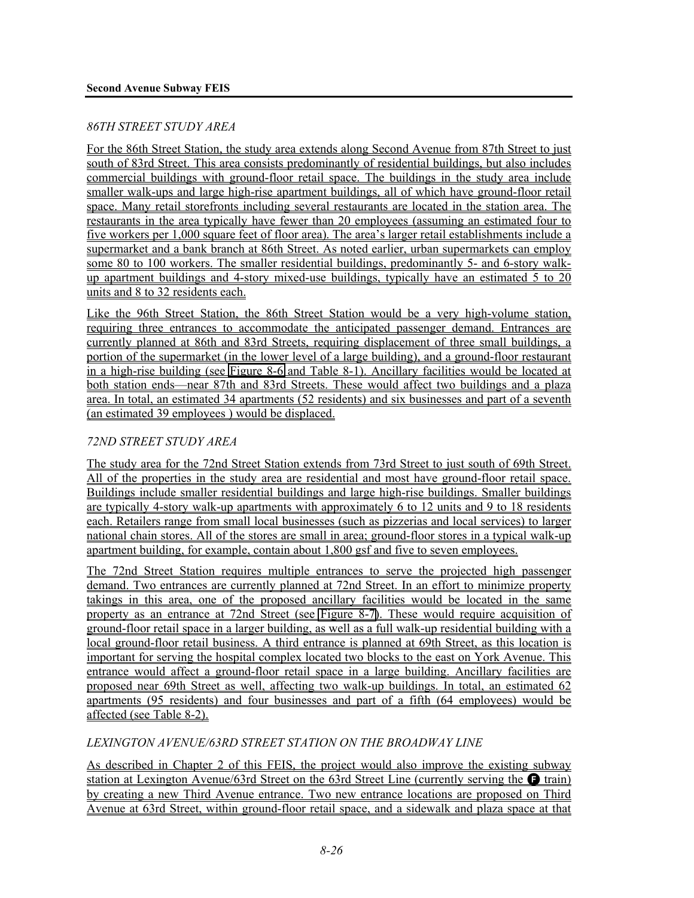#### *86TH STREET STUDY AREA*

For the 86th Street Station, the study area extends along Second Avenue from 87th Street to just south of 83rd Street. This area consists predominantly of residential buildings, but also includes commercial buildings with ground-floor retail space. The buildings in the study area include smaller walk-ups and large high-rise apartment buildings, all of which have ground-floor retail space. Many retail storefronts including several restaurants are located in the station area. The restaurants in the area typically have fewer than 20 employees (assuming an estimated four to five workers per 1,000 square feet of floor area). The area's larger retail establishments include a supermarket and a bank branch at 86th Street. As noted earlier, urban supermarkets can employ some 80 to 100 workers. The smaller residential buildings, predominantly 5- and 6-story walkup apartment buildings and 4-story mixed-use buildings, typically have an estimated 5 to 20 units and 8 to 32 residents each.

Like the 96th Street Station, the 86th Street Station would be a very high-volume station, requiring three entrances to accommodate the anticipated passenger demand. Entrances are currently planned at 86th and 83rd Streets, requiring displacement of three small buildings, a portion of the supermarket (in the lower level of a large building), and a ground-floor restaurant in a high-rise building (see Figure 8-6 and Table 8-1). Ancillary facilities would be located at both station ends—near 87th and 83rd Streets. These would affect two buildings and a plaza area. In total, an estimated 34 apartments (52 residents) and six businesses and part of a seventh (an estimated 39 employees ) would be displaced.

# *72ND STREET STUDY AREA*

The study area for the 72nd Street Station extends from 73rd Street to just south of 69th Street. All of the properties in the study area are residential and most have ground-floor retail space. Buildings include smaller residential buildings and large high-rise buildings. Smaller buildings are typically 4-story walk-up apartments with approximately 6 to 12 units and 9 to 18 residents each. Retailers range from small local businesses (such as pizzerias and local services) to larger national chain stores. All of the stores are small in area; ground-floor stores in a typical walk-up apartment building, for example, contain about 1,800 gsf and five to seven employees.

The 72nd Street Station requires multiple entrances to serve the projected high passenger demand. Two entrances are currently planned at 72nd Street. In an effort to minimize property takings in this area, one of the proposed ancillary facilities would be located in the same property as an entrance at 72nd Street (see Figure 8-7). These would require acquisition of ground-floor retail space in a larger building, as well as a full walk-up residential building with a local ground-floor retail business. A third entrance is planned at 69th Street, as this location is important for serving the hospital complex located two blocks to the east on York Avenue. This entrance would affect a ground-floor retail space in a large building. Ancillary facilities are proposed near 69th Street as well, affecting two walk-up buildings. In total, an estimated 62 apartments (95 residents) and four businesses and part of a fifth (64 employees) would be affected (see Table 8-2).

# *LEXINGTON AVENUE/63RD STREET STATION ON THE BROADWAY LINE*

As described in Chapter 2 of this FEIS, the project would also improve the existing subway station at Lexington Avenue/63rd Street on the 63rd Street Line (currently serving the  $\bigodot$  train) by creating a new Third Avenue entrance. Two new entrance locations are proposed on Third Avenue at 63rd Street, within ground-floor retail space, and a sidewalk and plaza space at that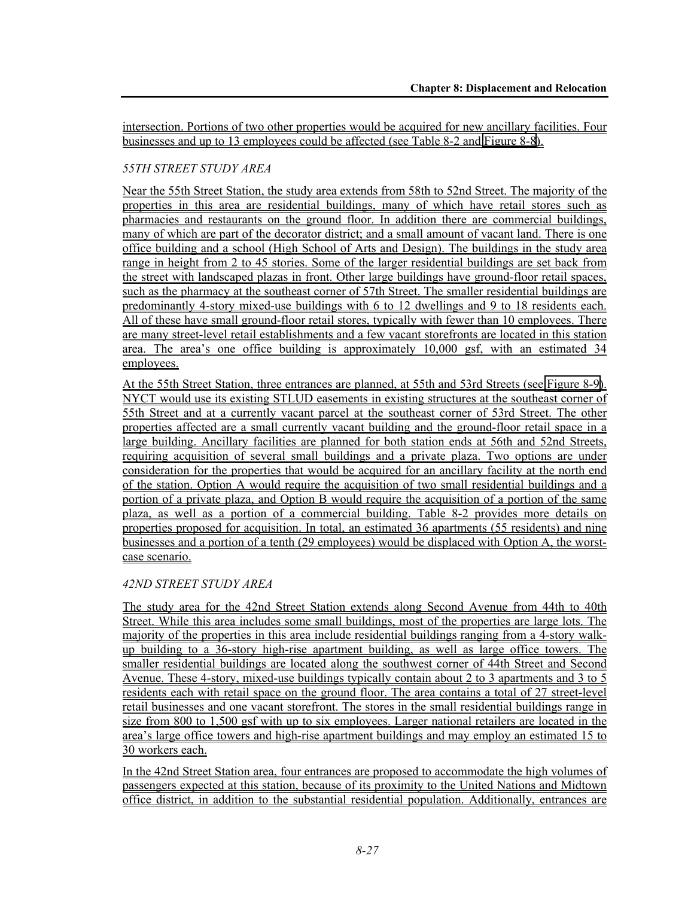intersection. Portions of two other properties would be acquired for new ancillary facilities. Four businesses and up to 13 employees could be affected (see Table 8-2 and Figure 8-8).

# *55TH STREET STUDY AREA*

Near the 55th Street Station, the study area extends from 58th to 52nd Street. The majority of the properties in this area are residential buildings, many of which have retail stores such as pharmacies and restaurants on the ground floor. In addition there are commercial buildings, many of which are part of the decorator district; and a small amount of vacant land. There is one office building and a school (High School of Arts and Design). The buildings in the study area range in height from 2 to 45 stories. Some of the larger residential buildings are set back from the street with landscaped plazas in front. Other large buildings have ground-floor retail spaces, such as the pharmacy at the southeast corner of 57th Street. The smaller residential buildings are predominantly 4-story mixed-use buildings with 6 to 12 dwellings and 9 to 18 residents each. All of these have small ground-floor retail stores, typically with fewer than 10 employees. There are many street-level retail establishments and a few vacant storefronts are located in this station area. The area's one office building is approximately 10,000 gsf, with an estimated 34 employees.

At the 55th Street Station, three entrances are planned, at 55th and 53rd Streets (see Figure 8-9). NYCT would use its existing STLUD easements in existing structures at the southeast corner of 55th Street and at a currently vacant parcel at the southeast corner of 53rd Street. The other properties affected are a small currently vacant building and the ground-floor retail space in a large building. Ancillary facilities are planned for both station ends at 56th and 52nd Streets, requiring acquisition of several small buildings and a private plaza. Two options are under consideration for the properties that would be acquired for an ancillary facility at the north end of the station. Option A would require the acquisition of two small residential buildings and a portion of a private plaza, and Option B would require the acquisition of a portion of the same plaza, as well as a portion of a commercial building. Table 8-2 provides more details on properties proposed for acquisition. In total, an estimated 36 apartments (55 residents) and nine businesses and a portion of a tenth (29 employees) would be displaced with Option A, the worstcase scenario.

# *42ND STREET STUDY AREA*

The study area for the 42nd Street Station extends along Second Avenue from 44th to 40th Street. While this area includes some small buildings, most of the properties are large lots. The majority of the properties in this area include residential buildings ranging from a 4-story walkup building to a 36-story high-rise apartment building, as well as large office towers. The smaller residential buildings are located along the southwest corner of 44th Street and Second Avenue. These 4-story, mixed-use buildings typically contain about 2 to 3 apartments and 3 to 5 residents each with retail space on the ground floor. The area contains a total of 27 street-level retail businesses and one vacant storefront. The stores in the small residential buildings range in size from 800 to 1,500 gsf with up to six employees. Larger national retailers are located in the area's large office towers and high-rise apartment buildings and may employ an estimated 15 to 30 workers each.

In the 42nd Street Station area, four entrances are proposed to accommodate the high volumes of passengers expected at this station, because of its proximity to the United Nations and Midtown office district, in addition to the substantial residential population. Additionally, entrances are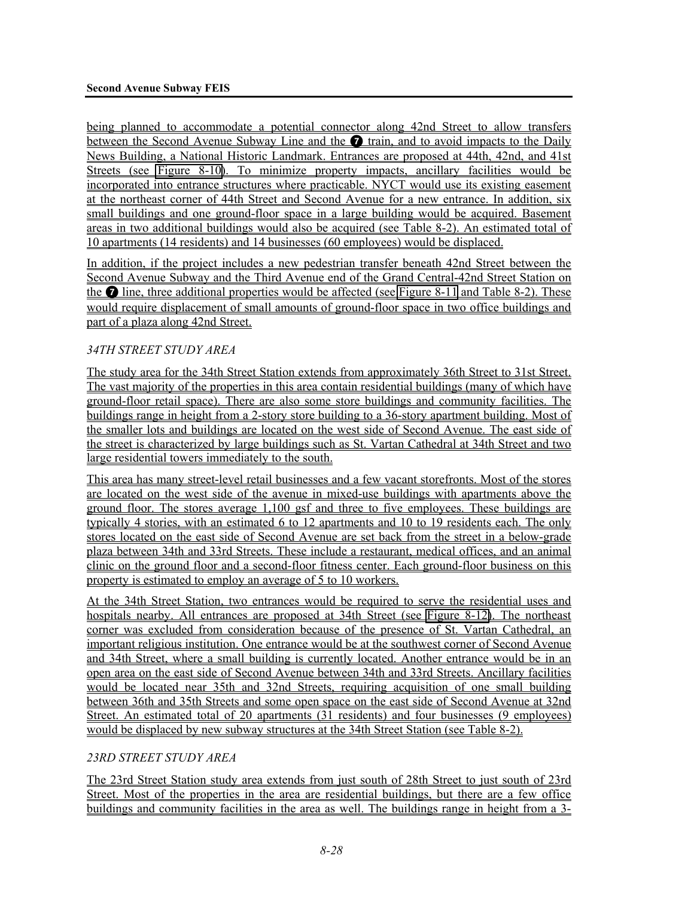being planned to accommodate a potential connector along 42nd Street to allow transfers between the Second Avenue Subway Line and the  $\Omega$  train, and to avoid impacts to the Daily News Building, a National Historic Landmark. Entrances are proposed at 44th, 42nd, and 41st Streets (see Figure 8-10). To minimize property impacts, ancillary facilities would be incorporated into entrance structures where practicable. NYCT would use its existing easement at the northeast corner of 44th Street and Second Avenue for a new entrance. In addition, six small buildings and one ground-floor space in a large building would be acquired. Basement areas in two additional buildings would also be acquired (see Table 8-2). An estimated total of 10 apartments (14 residents) and 14 businesses (60 employees) would be displaced.

In addition, if the project includes a new pedestrian transfer beneath 42nd Street between the Second Avenue Subway and the Third Avenue end of the Grand Central-42nd Street Station on the 7 line, three additional properties would be affected (see Figure 8-11 and Table 8-2). These would require displacement of small amounts of ground-floor space in two office buildings and part of a plaza along 42nd Street.

# *34TH STREET STUDY AREA*

The study area for the 34th Street Station extends from approximately 36th Street to 31st Street. The vast majority of the properties in this area contain residential buildings (many of which have ground-floor retail space). There are also some store buildings and community facilities. The buildings range in height from a 2-story store building to a 36-story apartment building. Most of the smaller lots and buildings are located on the west side of Second Avenue. The east side of the street is characterized by large buildings such as St. Vartan Cathedral at 34th Street and two large residential towers immediately to the south.

This area has many street-level retail businesses and a few vacant storefronts. Most of the stores are located on the west side of the avenue in mixed-use buildings with apartments above the ground floor. The stores average 1,100 gsf and three to five employees. These buildings are typically 4 stories, with an estimated 6 to 12 apartments and 10 to 19 residents each. The only stores located on the east side of Second Avenue are set back from the street in a below-grade plaza between 34th and 33rd Streets. These include a restaurant, medical offices, and an animal clinic on the ground floor and a second-floor fitness center. Each ground-floor business on this property is estimated to employ an average of 5 to 10 workers.

At the 34th Street Station, two entrances would be required to serve the residential uses and hospitals nearby. All entrances are proposed at 34th Street (see Figure 8-12). The northeast corner was excluded from consideration because of the presence of St. Vartan Cathedral, an important religious institution. One entrance would be at the southwest corner of Second Avenue and 34th Street, where a small building is currently located. Another entrance would be in an open area on the east side of Second Avenue between 34th and 33rd Streets. Ancillary facilities would be located near 35th and 32nd Streets, requiring acquisition of one small building between 36th and 35th Streets and some open space on the east side of Second Avenue at 32nd Street. An estimated total of 20 apartments (31 residents) and four businesses (9 employees) would be displaced by new subway structures at the 34th Street Station (see Table 8-2).

# *23RD STREET STUDY AREA*

The 23rd Street Station study area extends from just south of 28th Street to just south of 23rd Street. Most of the properties in the area are residential buildings, but there are a few office buildings and community facilities in the area as well. The buildings range in height from a 3-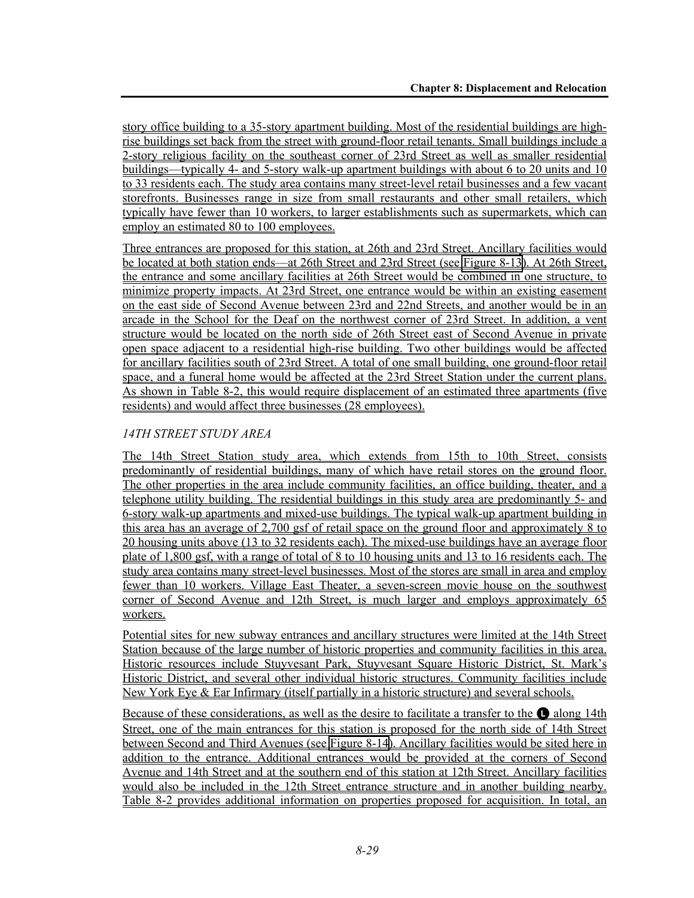story office building to a 35-story apartment building. Most of the residential buildings are highrise buildings set back from the street with ground-floor retail tenants. Small buildings include a 2-story religious facility on the southeast corner of 23rd Street as well as smaller residential buildings—typically 4- and 5-story walk-up apartment buildings with about 6 to 20 units and 10 to 33 residents each. The study area contains many street-level retail businesses and a few vacant storefronts. Businesses range in size from small restaurants and other small retailers, which typically have fewer than 10 workers, to larger establishments such as supermarkets, which can employ an estimated 80 to 100 employees.

Three entrances are proposed for this station, at 26th and 23rd Street. Ancillary facilities would be located at both station ends—at 26th Street and 23rd Street (see Figure 8-13). At 26th Street, the entrance and some ancillary facilities at 26th Street would be combined in one structure, to minimize property impacts. At 23rd Street, one entrance would be within an existing easement on the east side of Second Avenue between 23rd and 22nd Streets, and another would be in an arcade in the School for the Deaf on the northwest corner of 23rd Street. In addition, a vent structure would be located on the north side of 26th Street east of Second Avenue in private open space adjacent to a residential high-rise building. Two other buildings would be affected for ancillary facilities south of 23rd Street. A total of one small building, one ground-floor retail space, and a funeral home would be affected at the 23rd Street Station under the current plans. As shown in Table 8-2, this would require displacement of an estimated three apartments (five residents) and would affect three businesses (28 employees).

# *14TH STREET STUDY AREA*

The 14th Street Station study area, which extends from 15th to 10th Street, consists predominantly of residential buildings, many of which have retail stores on the ground floor. The other properties in the area include community facilities, an office building, theater, and a telephone utility building. The residential buildings in this study area are predominantly 5- and 6-story walk-up apartments and mixed-use buildings. The typical walk-up apartment building in this area has an average of 2,700 gsf of retail space on the ground floor and approximately 8 to 20 housing units above (13 to 32 residents each). The mixed-use buildings have an average floor plate of 1,800 gsf, with a range of total of 8 to 10 housing units and 13 to 16 residents each. The study area contains many street-level businesses. Most of the stores are small in area and employ fewer than 10 workers. Village East Theater, a seven-screen movie house on the southwest corner of Second Avenue and 12th Street, is much larger and employs approximately 65 workers.

Potential sites for new subway entrances and ancillary structures were limited at the 14th Street Station because of the large number of historic properties and community facilities in this area. Historic resources include Stuyvesant Park, Stuyvesant Square Historic District, St. Mark's Historic District, and several other individual historic structures. Community facilities include New York Eye & Ear Infirmary (itself partially in a historic structure) and several schools.

Because of these considerations, as well as the desire to facilitate a transfer to the  $\bigcirc$  along 14th Street, one of the main entrances for this station is proposed for the north side of 14th Street between Second and Third Avenues (see Figure 8-14). Ancillary facilities would be sited here in addition to the entrance. Additional entrances would be provided at the corners of Second Avenue and 14th Street and at the southern end of this station at 12th Street. Ancillary facilities would also be included in the 12th Street entrance structure and in another building nearby. Table 8-2 provides additional information on properties proposed for acquisition. In total, an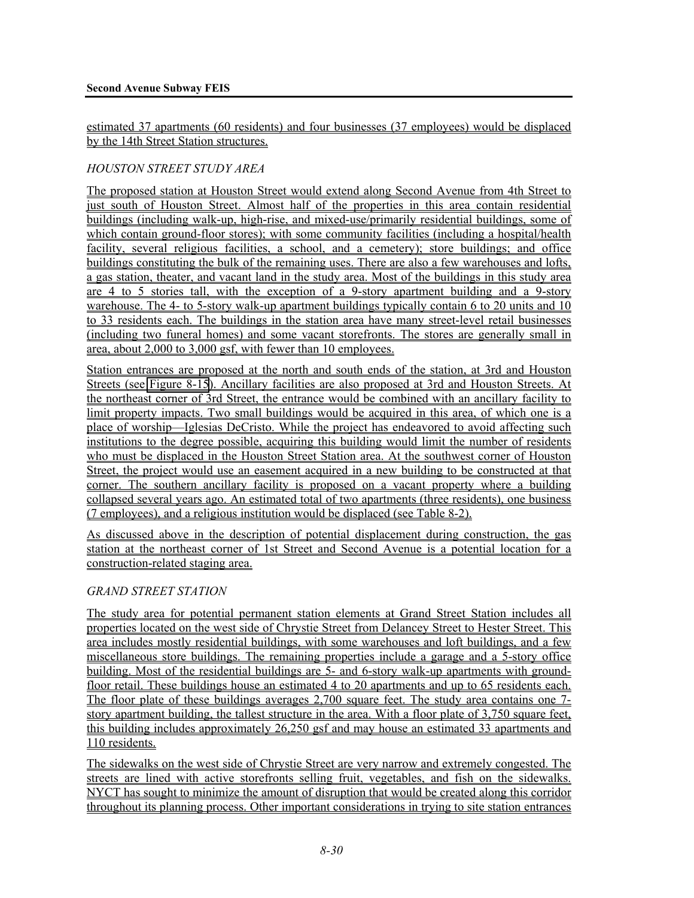estimated 37 apartments (60 residents) and four businesses (37 employees) would be displaced by the 14th Street Station structures.

# *HOUSTON STREET STUDY AREA*

The proposed station at Houston Street would extend along Second Avenue from 4th Street to just south of Houston Street. Almost half of the properties in this area contain residential buildings (including walk-up, high-rise, and mixed-use/primarily residential buildings, some of which contain ground-floor stores); with some community facilities (including a hospital/health facility, several religious facilities, a school, and a cemetery); store buildings; and office buildings constituting the bulk of the remaining uses. There are also a few warehouses and lofts, a gas station, theater, and vacant land in the study area. Most of the buildings in this study area are 4 to 5 stories tall, with the exception of a 9-story apartment building and a 9-story warehouse. The 4- to 5-story walk-up apartment buildings typically contain 6 to 20 units and 10 to 33 residents each. The buildings in the station area have many street-level retail businesses (including two funeral homes) and some vacant storefronts. The stores are generally small in area, about 2,000 to 3,000 gsf, with fewer than 10 employees.

Station entrances are proposed at the north and south ends of the station, at 3rd and Houston Streets (see Figure 8-15). Ancillary facilities are also proposed at 3rd and Houston Streets. At the northeast corner of 3rd Street, the entrance would be combined with an ancillary facility to limit property impacts. Two small buildings would be acquired in this area, of which one is a place of worship—Iglesias DeCristo. While the project has endeavored to avoid affecting such institutions to the degree possible, acquiring this building would limit the number of residents who must be displaced in the Houston Street Station area. At the southwest corner of Houston Street, the project would use an easement acquired in a new building to be constructed at that corner. The southern ancillary facility is proposed on a vacant property where a building collapsed several years ago. An estimated total of two apartments (three residents), one business (7 employees), and a religious institution would be displaced (see Table 8-2).

As discussed above in the description of potential displacement during construction, the gas station at the northeast corner of 1st Street and Second Avenue is a potential location for a construction-related staging area.

# *GRAND STREET STATION*

The study area for potential permanent station elements at Grand Street Station includes all properties located on the west side of Chrystie Street from Delancey Street to Hester Street. This area includes mostly residential buildings, with some warehouses and loft buildings, and a few miscellaneous store buildings. The remaining properties include a garage and a 5-story office building. Most of the residential buildings are 5- and 6-story walk-up apartments with groundfloor retail. These buildings house an estimated 4 to 20 apartments and up to 65 residents each. The floor plate of these buildings averages 2,700 square feet. The study area contains one 7 story apartment building, the tallest structure in the area. With a floor plate of 3,750 square feet, this building includes approximately 26,250 gsf and may house an estimated 33 apartments and 110 residents.

The sidewalks on the west side of Chrystie Street are very narrow and extremely congested. The streets are lined with active storefronts selling fruit, vegetables, and fish on the sidewalks. NYCT has sought to minimize the amount of disruption that would be created along this corridor throughout its planning process. Other important considerations in trying to site station entrances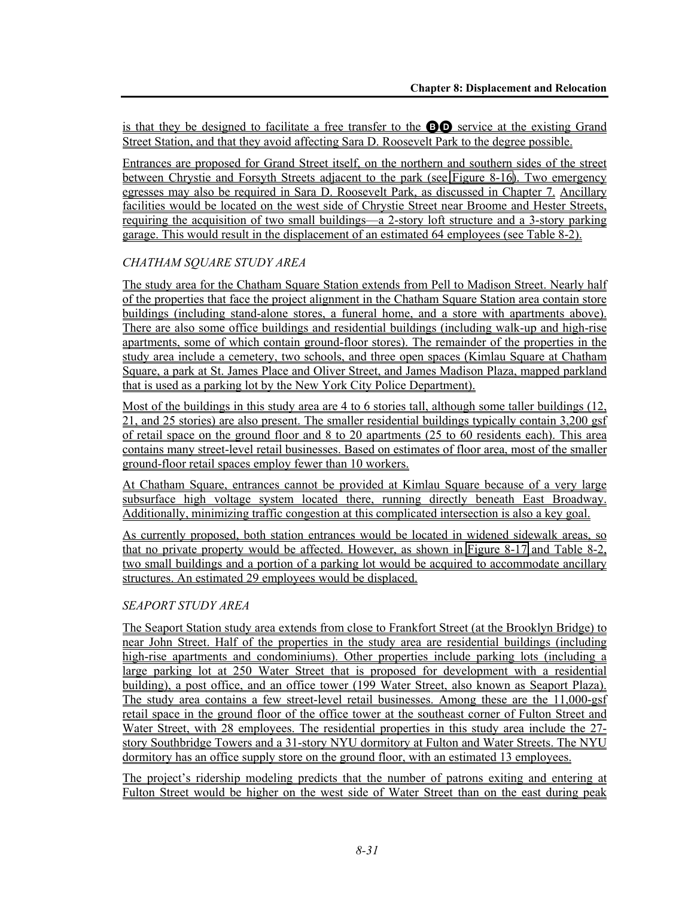is that they be designed to facilitate a free transfer to the  $\bullet$  service at the existing Grand Street Station, and that they avoid affecting Sara D. Roosevelt Park to the degree possible.

Entrances are proposed for Grand Street itself, on the northern and southern sides of the street between Chrystie and Forsyth Streets adjacent to the park (see Figure 8-16). Two emergency egresses may also be required in Sara D. Roosevelt Park, as discussed in Chapter 7. Ancillary facilities would be located on the west side of Chrystie Street near Broome and Hester Streets, requiring the acquisition of two small buildings—a 2-story loft structure and a 3-story parking garage. This would result in the displacement of an estimated 64 employees (see Table 8-2).

#### *CHATHAM SQUARE STUDY AREA*

The study area for the Chatham Square Station extends from Pell to Madison Street. Nearly half of the properties that face the project alignment in the Chatham Square Station area contain store buildings (including stand-alone stores, a funeral home, and a store with apartments above). There are also some office buildings and residential buildings (including walk-up and high-rise apartments, some of which contain ground-floor stores). The remainder of the properties in the study area include a cemetery, two schools, and three open spaces (Kimlau Square at Chatham Square, a park at St. James Place and Oliver Street, and James Madison Plaza, mapped parkland that is used as a parking lot by the New York City Police Department).

Most of the buildings in this study area are 4 to 6 stories tall, although some taller buildings (12, 21, and 25 stories) are also present. The smaller residential buildings typically contain 3,200 gsf of retail space on the ground floor and 8 to 20 apartments (25 to 60 residents each). This area contains many street-level retail businesses. Based on estimates of floor area, most of the smaller ground-floor retail spaces employ fewer than 10 workers.

At Chatham Square, entrances cannot be provided at Kimlau Square because of a very large subsurface high voltage system located there, running directly beneath East Broadway. Additionally, minimizing traffic congestion at this complicated intersection is also a key goal.

As currently proposed, both station entrances would be located in widened sidewalk areas, so that no private property would be affected. However, as shown in Figure 8-17 and Table 8-2, two small buildings and a portion of a parking lot would be acquired to accommodate ancillary structures. An estimated 29 employees would be displaced.

# *SEAPORT STUDY AREA*

The Seaport Station study area extends from close to Frankfort Street (at the Brooklyn Bridge) to near John Street. Half of the properties in the study area are residential buildings (including high-rise apartments and condominiums). Other properties include parking lots (including a large parking lot at 250 Water Street that is proposed for development with a residential building), a post office, and an office tower (199 Water Street, also known as Seaport Plaza). The study area contains a few street-level retail businesses. Among these are the 11,000-gsf retail space in the ground floor of the office tower at the southeast corner of Fulton Street and Water Street, with 28 employees. The residential properties in this study area include the 27 story Southbridge Towers and a 31-story NYU dormitory at Fulton and Water Streets. The NYU dormitory has an office supply store on the ground floor, with an estimated 13 employees.

The project's ridership modeling predicts that the number of patrons exiting and entering at Fulton Street would be higher on the west side of Water Street than on the east during peak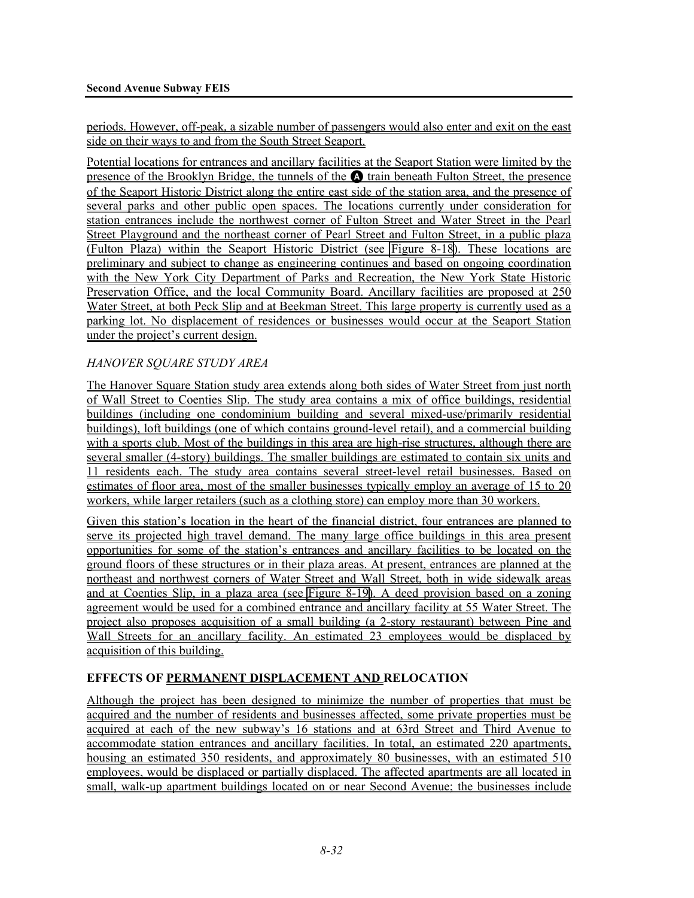periods. However, off-peak, a sizable number of passengers would also enter and exit on the east side on their ways to and from the South Street Seaport.

Potential locations for entrances and ancillary facilities at the Seaport Station were limited by the presence of the Brooklyn Bridge, the tunnels of the  $\Omega$  train beneath Fulton Street, the presence of the Seaport Historic District along the entire east side of the station area, and the presence of several parks and other public open spaces. The locations currently under consideration for station entrances include the northwest corner of Fulton Street and Water Street in the Pearl Street Playground and the northeast corner of Pearl Street and Fulton Street, in a public plaza (Fulton Plaza) within the Seaport Historic District (see Figure 8-18). These locations are preliminary and subject to change as engineering continues and based on ongoing coordination with the New York City Department of Parks and Recreation, the New York State Historic Preservation Office, and the local Community Board. Ancillary facilities are proposed at 250 Water Street, at both Peck Slip and at Beekman Street. This large property is currently used as a parking lot. No displacement of residences or businesses would occur at the Seaport Station under the project's current design.

#### *HANOVER SQUARE STUDY AREA*

The Hanover Square Station study area extends along both sides of Water Street from just north of Wall Street to Coenties Slip. The study area contains a mix of office buildings, residential buildings (including one condominium building and several mixed-use/primarily residential buildings), loft buildings (one of which contains ground-level retail), and a commercial building with a sports club. Most of the buildings in this area are high-rise structures, although there are several smaller (4-story) buildings. The smaller buildings are estimated to contain six units and 11 residents each. The study area contains several street-level retail businesses. Based on estimates of floor area, most of the smaller businesses typically employ an average of 15 to 20 workers, while larger retailers (such as a clothing store) can employ more than 30 workers.

Given this station's location in the heart of the financial district, four entrances are planned to serve its projected high travel demand. The many large office buildings in this area present opportunities for some of the station's entrances and ancillary facilities to be located on the ground floors of these structures or in their plaza areas. At present, entrances are planned at the northeast and northwest corners of Water Street and Wall Street, both in wide sidewalk areas and at Coenties Slip, in a plaza area (see Figure 8-19). A deed provision based on a zoning agreement would be used for a combined entrance and ancillary facility at 55 Water Street. The project also proposes acquisition of a small building (a 2-story restaurant) between Pine and Wall Streets for an ancillary facility. An estimated 23 employees would be displaced by acquisition of this building.

# **EFFECTS OF PERMANENT DISPLACEMENT AND RELOCATION**

Although the project has been designed to minimize the number of properties that must be acquired and the number of residents and businesses affected, some private properties must be acquired at each of the new subway's 16 stations and at 63rd Street and Third Avenue to accommodate station entrances and ancillary facilities. In total, an estimated 220 apartments, housing an estimated 350 residents, and approximately 80 businesses, with an estimated 510 employees, would be displaced or partially displaced. The affected apartments are all located in small, walk-up apartment buildings located on or near Second Avenue; the businesses include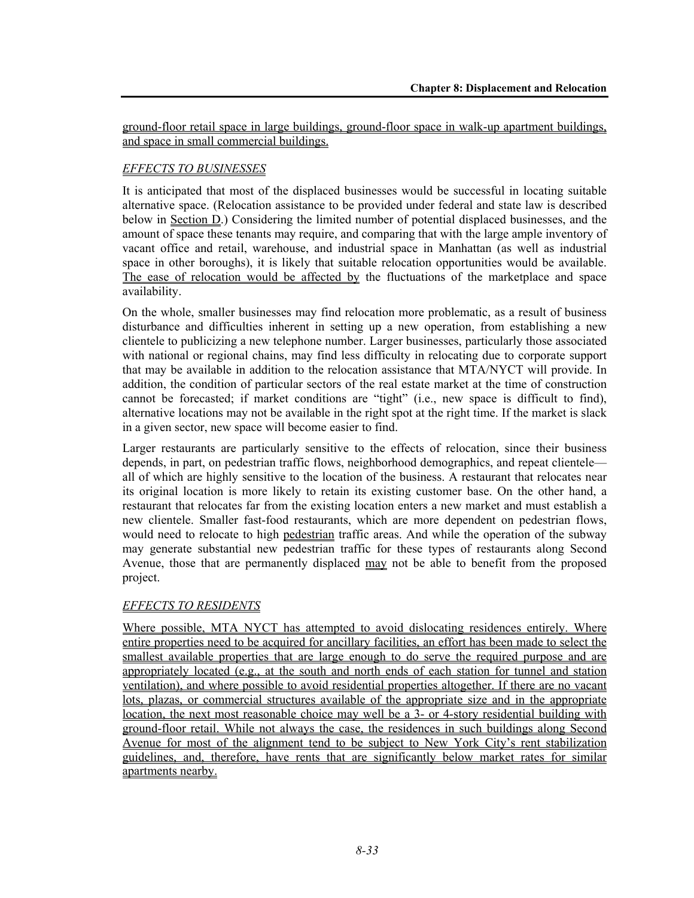ground-floor retail space in large buildings, ground-floor space in walk-up apartment buildings, and space in small commercial buildings.

# *EFFECTS TO BUSINESSES*

It is anticipated that most of the displaced businesses would be successful in locating suitable alternative space. (Relocation assistance to be provided under federal and state law is described below in Section D.) Considering the limited number of potential displaced businesses, and the amount of space these tenants may require, and comparing that with the large ample inventory of vacant office and retail, warehouse, and industrial space in Manhattan (as well as industrial space in other boroughs), it is likely that suitable relocation opportunities would be available. The ease of relocation would be affected by the fluctuations of the marketplace and space availability.

On the whole, smaller businesses may find relocation more problematic, as a result of business disturbance and difficulties inherent in setting up a new operation, from establishing a new clientele to publicizing a new telephone number. Larger businesses, particularly those associated with national or regional chains, may find less difficulty in relocating due to corporate support that may be available in addition to the relocation assistance that MTA/NYCT will provide. In addition, the condition of particular sectors of the real estate market at the time of construction cannot be forecasted; if market conditions are "tight" (i.e., new space is difficult to find), alternative locations may not be available in the right spot at the right time. If the market is slack in a given sector, new space will become easier to find.

Larger restaurants are particularly sensitive to the effects of relocation, since their business depends, in part, on pedestrian traffic flows, neighborhood demographics, and repeat clientele all of which are highly sensitive to the location of the business. A restaurant that relocates near its original location is more likely to retain its existing customer base. On the other hand, a restaurant that relocates far from the existing location enters a new market and must establish a new clientele. Smaller fast-food restaurants, which are more dependent on pedestrian flows, would need to relocate to high pedestrian traffic areas. And while the operation of the subway may generate substantial new pedestrian traffic for these types of restaurants along Second Avenue, those that are permanently displaced may not be able to benefit from the proposed project.

# *EFFECTS TO RESIDENTS*

Where possible, MTA NYCT has attempted to avoid dislocating residences entirely. Where entire properties need to be acquired for ancillary facilities, an effort has been made to select the smallest available properties that are large enough to do serve the required purpose and are appropriately located (e.g., at the south and north ends of each station for tunnel and station ventilation), and where possible to avoid residential properties altogether. If there are no vacant lots, plazas, or commercial structures available of the appropriate size and in the appropriate location, the next most reasonable choice may well be a 3- or 4-story residential building with ground-floor retail. While not always the case, the residences in such buildings along Second Avenue for most of the alignment tend to be subject to New York City's rent stabilization guidelines, and, therefore, have rents that are significantly below market rates for similar apartments nearby.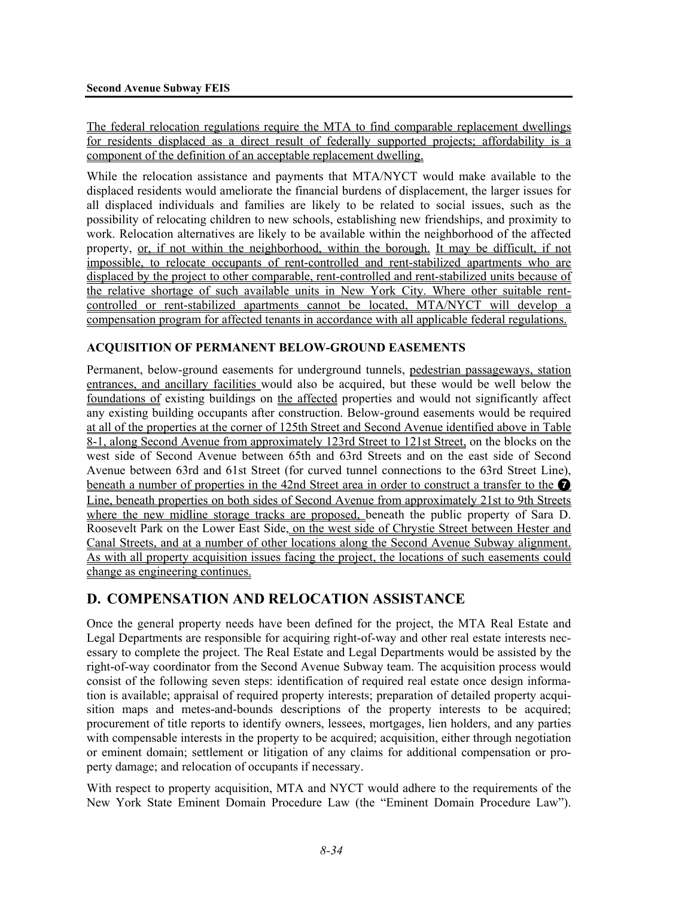The federal relocation regulations require the MTA to find comparable replacement dwellings for residents displaced as a direct result of federally supported projects; affordability is a component of the definition of an acceptable replacement dwelling.

While the relocation assistance and payments that MTA/NYCT would make available to the displaced residents would ameliorate the financial burdens of displacement, the larger issues for all displaced individuals and families are likely to be related to social issues, such as the possibility of relocating children to new schools, establishing new friendships, and proximity to work. Relocation alternatives are likely to be available within the neighborhood of the affected property, or, if not within the neighborhood, within the borough. It may be difficult, if not impossible, to relocate occupants of rent-controlled and rent-stabilized apartments who are displaced by the project to other comparable, rent-controlled and rent-stabilized units because of the relative shortage of such available units in New York City. Where other suitable rentcontrolled or rent-stabilized apartments cannot be located, MTA/NYCT will develop a compensation program for affected tenants in accordance with all applicable federal regulations.

#### **ACQUISITION OF PERMANENT BELOW-GROUND EASEMENTS**

Permanent, below-ground easements for underground tunnels, pedestrian passageways, station entrances, and ancillary facilities would also be acquired, but these would be well below the foundations of existing buildings on the affected properties and would not significantly affect any existing building occupants after construction. Below-ground easements would be required at all of the properties at the corner of 125th Street and Second Avenue identified above in Table 8-1, along Second Avenue from approximately 123rd Street to 121st Street, on the blocks on the west side of Second Avenue between 65th and 63rd Streets and on the east side of Second Avenue between 63rd and 61st Street (for curved tunnel connections to the 63rd Street Line), beneath a number of properties in the 42nd Street area in order to construct a transfer to the  $\bullet$ Line, beneath properties on both sides of Second Avenue from approximately 21st to 9th Streets where the new midline storage tracks are proposed, beneath the public property of Sara D. Roosevelt Park on the Lower East Side, on the west side of Chrystie Street between Hester and Canal Streets, and at a number of other locations along the Second Avenue Subway alignment. As with all property acquisition issues facing the project, the locations of such easements could change as engineering continues.

# **D. COMPENSATION AND RELOCATION ASSISTANCE**

Once the general property needs have been defined for the project, the MTA Real Estate and Legal Departments are responsible for acquiring right-of-way and other real estate interests necessary to complete the project. The Real Estate and Legal Departments would be assisted by the right-of-way coordinator from the Second Avenue Subway team. The acquisition process would consist of the following seven steps: identification of required real estate once design information is available; appraisal of required property interests; preparation of detailed property acquisition maps and metes-and-bounds descriptions of the property interests to be acquired; procurement of title reports to identify owners, lessees, mortgages, lien holders, and any parties with compensable interests in the property to be acquired; acquisition, either through negotiation or eminent domain; settlement or litigation of any claims for additional compensation or property damage; and relocation of occupants if necessary.

With respect to property acquisition, MTA and NYCT would adhere to the requirements of the New York State Eminent Domain Procedure Law (the "Eminent Domain Procedure Law").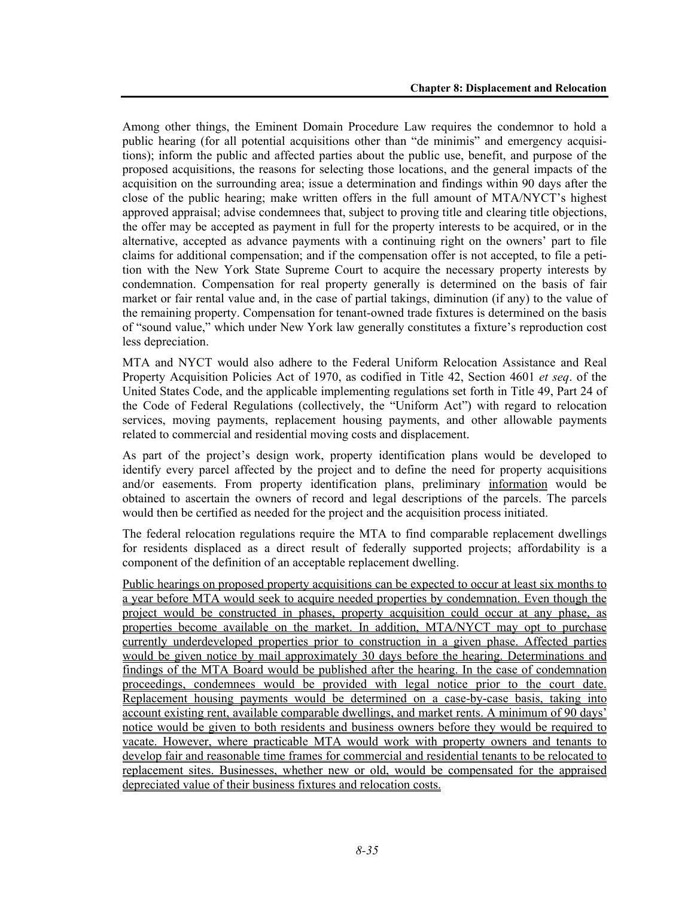Among other things, the Eminent Domain Procedure Law requires the condemnor to hold a public hearing (for all potential acquisitions other than "de minimis" and emergency acquisitions); inform the public and affected parties about the public use, benefit, and purpose of the proposed acquisitions, the reasons for selecting those locations, and the general impacts of the acquisition on the surrounding area; issue a determination and findings within 90 days after the close of the public hearing; make written offers in the full amount of MTA/NYCT's highest approved appraisal; advise condemnees that, subject to proving title and clearing title objections, the offer may be accepted as payment in full for the property interests to be acquired, or in the alternative, accepted as advance payments with a continuing right on the owners' part to file claims for additional compensation; and if the compensation offer is not accepted, to file a petition with the New York State Supreme Court to acquire the necessary property interests by condemnation. Compensation for real property generally is determined on the basis of fair market or fair rental value and, in the case of partial takings, diminution (if any) to the value of the remaining property. Compensation for tenant-owned trade fixtures is determined on the basis of "sound value," which under New York law generally constitutes a fixture's reproduction cost less depreciation.

MTA and NYCT would also adhere to the Federal Uniform Relocation Assistance and Real Property Acquisition Policies Act of 1970, as codified in Title 42, Section 4601 *et seq*. of the United States Code, and the applicable implementing regulations set forth in Title 49, Part 24 of the Code of Federal Regulations (collectively, the "Uniform Act") with regard to relocation services, moving payments, replacement housing payments, and other allowable payments related to commercial and residential moving costs and displacement.

As part of the project's design work, property identification plans would be developed to identify every parcel affected by the project and to define the need for property acquisitions and/or easements. From property identification plans, preliminary information would be obtained to ascertain the owners of record and legal descriptions of the parcels. The parcels would then be certified as needed for the project and the acquisition process initiated.

The federal relocation regulations require the MTA to find comparable replacement dwellings for residents displaced as a direct result of federally supported projects; affordability is a component of the definition of an acceptable replacement dwelling.

Public hearings on proposed property acquisitions can be expected to occur at least six months to a year before MTA would seek to acquire needed properties by condemnation. Even though the project would be constructed in phases, property acquisition could occur at any phase, as properties become available on the market. In addition, MTA/NYCT may opt to purchase currently underdeveloped properties prior to construction in a given phase. Affected parties would be given notice by mail approximately 30 days before the hearing. Determinations and findings of the MTA Board would be published after the hearing. In the case of condemnation proceedings, condemnees would be provided with legal notice prior to the court date. Replacement housing payments would be determined on a case-by-case basis, taking into account existing rent, available comparable dwellings, and market rents. A minimum of 90 days' notice would be given to both residents and business owners before they would be required to vacate. However, where practicable MTA would work with property owners and tenants to develop fair and reasonable time frames for commercial and residential tenants to be relocated to replacement sites. Businesses, whether new or old, would be compensated for the appraised depreciated value of their business fixtures and relocation costs.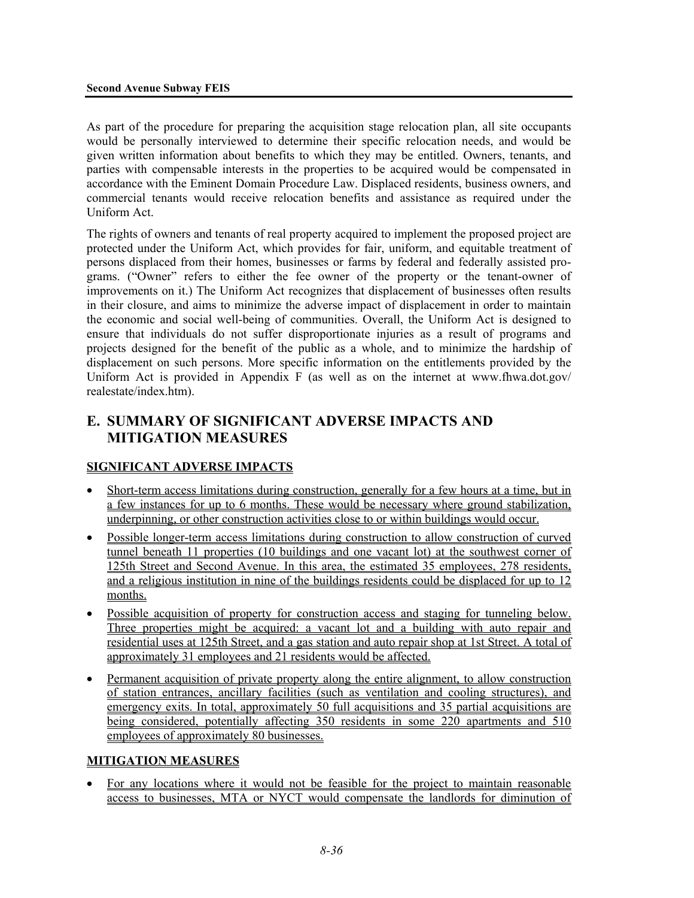As part of the procedure for preparing the acquisition stage relocation plan, all site occupants would be personally interviewed to determine their specific relocation needs, and would be given written information about benefits to which they may be entitled. Owners, tenants, and parties with compensable interests in the properties to be acquired would be compensated in accordance with the Eminent Domain Procedure Law. Displaced residents, business owners, and commercial tenants would receive relocation benefits and assistance as required under the Uniform Act.

The rights of owners and tenants of real property acquired to implement the proposed project are protected under the Uniform Act, which provides for fair, uniform, and equitable treatment of persons displaced from their homes, businesses or farms by federal and federally assisted programs. ("Owner" refers to either the fee owner of the property or the tenant-owner of improvements on it.) The Uniform Act recognizes that displacement of businesses often results in their closure, and aims to minimize the adverse impact of displacement in order to maintain the economic and social well-being of communities. Overall, the Uniform Act is designed to ensure that individuals do not suffer disproportionate injuries as a result of programs and projects designed for the benefit of the public as a whole, and to minimize the hardship of displacement on such persons. More specific information on the entitlements provided by the Uniform Act is provided in Appendix F (as well as on the internet at www.fhwa.dot.gov/ realestate/index.htm).

# **E. SUMMARY OF SIGNIFICANT ADVERSE IMPACTS AND MITIGATION MEASURES**

# **SIGNIFICANT ADVERSE IMPACTS**

- Short-term access limitations during construction, generally for a few hours at a time, but in a few instances for up to 6 months. These would be necessary where ground stabilization, underpinning, or other construction activities close to or within buildings would occur.
- Possible longer-term access limitations during construction to allow construction of curved tunnel beneath 11 properties (10 buildings and one vacant lot) at the southwest corner of 125th Street and Second Avenue. In this area, the estimated 35 employees, 278 residents, and a religious institution in nine of the buildings residents could be displaced for up to 12 months.
- Possible acquisition of property for construction access and staging for tunneling below. Three properties might be acquired: a vacant lot and a building with auto repair and residential uses at 125th Street, and a gas station and auto repair shop at 1st Street. A total of approximately 31 employees and 21 residents would be affected.
- Permanent acquisition of private property along the entire alignment, to allow construction of station entrances, ancillary facilities (such as ventilation and cooling structures), and emergency exits. In total, approximately 50 full acquisitions and 35 partial acquisitions are being considered, potentially affecting 350 residents in some 220 apartments and 510 employees of approximately 80 businesses.

# **MITIGATION MEASURES**

• For any locations where it would not be feasible for the project to maintain reasonable access to businesses, MTA or NYCT would compensate the landlords for diminution of